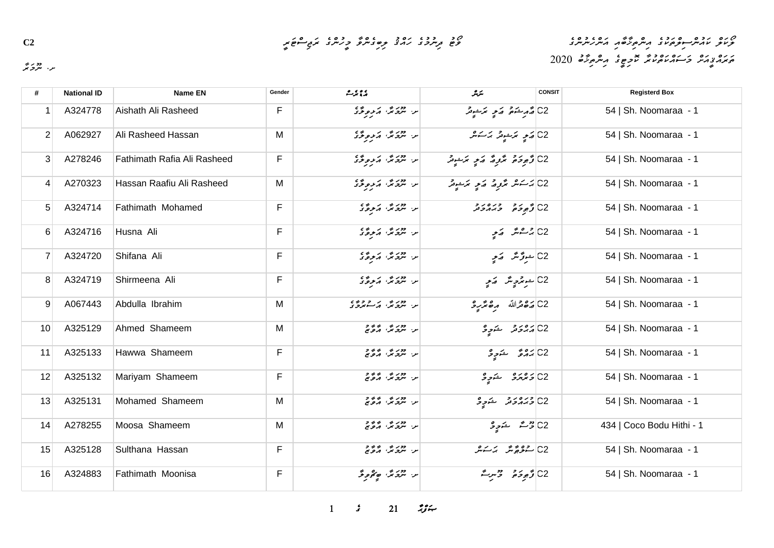*sCw7q7s5w7m< o<n9nOoAw7o< sCq;mAwBoEw7q<m; wBm;vB* م من المرة المرة المرة المرة المرة المرة العربية 2020<br>مجم*د المريض المريض المربع المربع المربع المراجع المراجع ال* 

| #                | <b>National ID</b> | Name EN                     | Gender      | بروبره                         | سرپر                                       | <b>CONSIT</b> | <b>Registerd Box</b>      |
|------------------|--------------------|-----------------------------|-------------|--------------------------------|--------------------------------------------|---------------|---------------------------|
| 1                | A324778            | Aishath Ali Rasheed         | $\mathsf F$ | بر المرديم، مروونوني           | C2 م <i>ەم شەھ مەم</i> مەسىم               |               | 54   Sh. Noomaraa - 1     |
| $\overline{2}$   | A062927            | Ali Rasheed Hassan          | M           | من شركة المعلومة ويحمد         | C2 كەنچ الارىغونقر الاسكەنلە               |               | 54   Sh. Noomaraa - 1     |
| $\mathbf{3}$     | A278246            | Fathimath Rafia Ali Rasheed | $\mathsf F$ | بر المرديم، مروونوني           | C2 تَهِ دَمَ تَرَبِّرَ مَنِ تَرَسِيْتَرَ   |               | 54   Sh. Noomaraa - 1     |
| 4                | A270323            | Hassan Raafiu Ali Rasheed   | M           | بر المرديم، مروونور            | C2 يُرَسَمَّرُ مُرُوِرَ كَمَّوِ مَرْشِوْرً |               | 54   Sh. Noomaraa - 1     |
| $5\phantom{.0}$  | A324714            | Fathimath Mohamed           | $\mathsf F$ | بن نترىرى كەنزەلى              | C2 توجوج وبرورد                            |               | 54   Sh. Noomaraa - 1     |
| 6                | A324716            | Husna Ali                   | F           | س ترترنگ و ترتری               | C2 پر شہر م <i>زم</i> ر                    |               | 54   Sh. Noomaraa - 1     |
| $\boldsymbol{7}$ | A324720            | Shifana Ali                 | $\mathsf F$ | ىن ئىزدىگە كەنزۈك              | C2 شورَّ شَر <sub>ص</sub> َرِ              |               | 54   Sh. Noomaraa - 1     |
| 8                | A324719            | Shirmeena Ali               | F           | ىر. <sup>دور ب</sup> ە كەنزۈكى | C2 شو <i>مژوپنگ م</i> َ مِ                 |               | 54   Sh. Noomaraa - 1     |
| 9                | A067443            | Abdulla Ibrahim             | M           | س بیوندی پر دوده               | C2 مَصْعَرِ اللّهُ مِصْعَرِ وَ             |               | 54   Sh. Noomaraa - 1     |
| 10               | A325129            | Ahmed Shameem               | M           | ىر. 22 شەرق ئەرەپ              | $5.25$ $2.25$ $C2$                         |               | 54   Sh. Noomaraa - 1     |
| 11               | A325133            | Hawwa Shameem               | $\mathsf F$ | ىر. 1972- ئەم 2 جەم ج          | C2 <i>بَدْهُ \$ جُودِ \$</i>               |               | 54   Sh. Noomaraa - 1     |
| 12               | A325132            | Mariyam Shameem             | $\mathsf F$ | س دور دی. ۱۶۶۶                 | $5.2$ $5.2$ $5.2$ $0.2$                    |               | 54   Sh. Noomaraa - 1     |
| 13               | A325131            | Mohamed Shameem             | M           | ىر. ئەركەنگە ئەمۇم             | 5, 2, 2, 3, 2                              |               | 54   Sh. Noomaraa - 1     |
| 14               | A278255            | Moosa Shameem               | M           | ىر بەردىكە ئەمەم               | C2 تۇشقا سى <i>نو</i> تۇ                   |               | 434   Coco Bodu Hithi - 1 |
| 15               | A325128            | Sulthana Hassan             | $\mathsf F$ | ىن ئەرەپ ئەمەم                 | C2 جۇۋىگە ئەس <i>ت</i> ىر                  |               | 54   Sh. Noomaraa - 1     |
| 16               | A324883            | Fathimath Moonisa           | F           | ر مردي ھاءوڈ                   | C2 تۇ <sub>م</sub> وكۇ ق <sup>ى</sup> رىگە |               | 54   Sh. Noomaraa - 1     |

*1 s* 21 *i*<sub>s</sub> $\approx$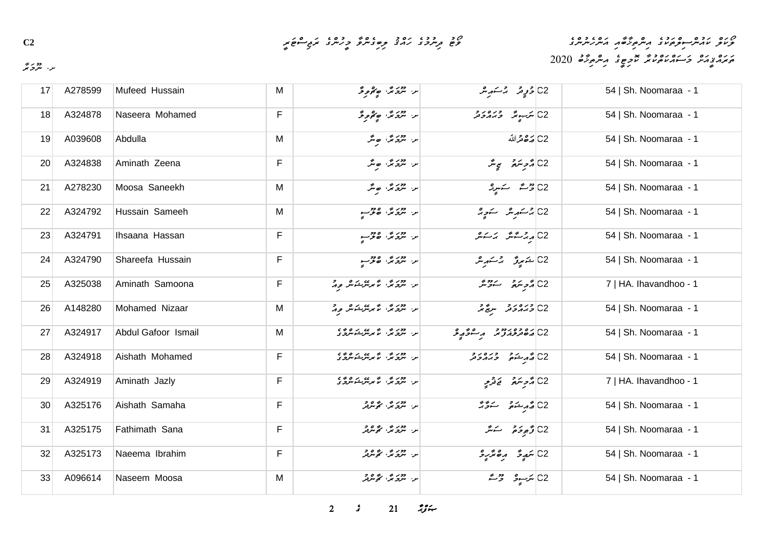*sCw7q7s5w7m< o<n9nOoAw7o< sCq;mAwBoEw7q<m; wBm;vB* م من المرة المرة المرة المرجع المرجع في المركبة 2020<br>مجم*د المريض المربوط المربع المرجع في المراجع المركبة* 

| 17 | A278599 | Mufeed Hussain      | M           | ىر شرىر ھۆۋى                              | C2 جۇيقر ب <sub>ى</sub> شەربىر   | 54   Sh. Noomaraa - 1  |
|----|---------|---------------------|-------------|-------------------------------------------|----------------------------------|------------------------|
| 18 | A324878 | Naseera Mohamed     | F           | ىر ئىزدىگە ھەمم                           | C2 ىترىپونتى ق <i>ەتمەدى</i> ر   | 54   Sh. Noomaraa - 1  |
| 19 | A039608 | Abdulla             | M           | بر. مرد نمی صنگر                          | C2 مَرْدَّ قَرْاللَّه            | 54   Sh. Noomaraa - 1  |
| 20 | A324838 | Aminath Zeena       | $\mathsf F$ | ىر. ئەردىكى ھەر                           | C2 م <i>گج</i> سَمَعُ سِمِيَّتَر | 54   Sh. Noomaraa - 1  |
| 21 | A278230 | Moosa Saneekh       | M           | ىر. ئىزدىكە ھەتگە                         | C2 وَسَدَّ سَنَدْرِدْ            | 54   Sh. Noomaraa - 1  |
| 22 | A324792 | Hussain Sameeh      | M           | ىر. «رىم» ھۆسە                            | C2 پر <i>شہر بنگہ سکو</i> پڑ     | 54   Sh. Noomaraa - 1  |
| 23 | A324791 | Ihsaana Hassan      | $\mathsf F$ | بر المرديمي، 20 شيع                       | C2 مەيرىسىگىر كەسكىلار           | 54   Sh. Noomaraa - 1  |
| 24 | A324790 | Shareefa Hussain    | F           | س بيروسي 199 <sub>9 م</sub>               | C2 شىمب <i>وت بى شىرىش</i>       | 54   Sh. Noomaraa - 1  |
| 25 | A325038 | Aminath Samoona     | F           | ىر سى ئىگە ئەس ئەس ئىلگە ئىلگە            | C2 مُجِسَعَ سَنَرْتَشَ           | 7   HA. Ihavandhoo - 1 |
| 26 | A148280 | Mohamed Nizaar      | M           | الراسوري الأبرعوشوالل والم                | C2 <i>جەنگە جىڭ سىڭ بى</i>       | 54   Sh. Noomaraa - 1  |
| 27 | A324917 | Abdul Gafoor Ismail | M           | ىن سىرە ئىگە ئەس ئەھم ئەھم ئە             | C2 مەھ <i>زىرى بوسىۋە</i> بۇ     | 54   Sh. Noomaraa - 1  |
| 28 | A324918 | Aishath Mohamed     | F           | در اور دی.<br>در اسرو بر اگه برسر شوسرو د | C2 مەم شەھرى <i>25 دەرد</i>      | 54   Sh. Noomaraa - 1  |
| 29 | A324919 | Aminath Jazly       | $\mathsf F$ | ىن سەرىخە ئەيرىكى مەھ ئ                   | C2 مُجرِسَمَ فَمَوْجِرِ          | 7   HA. Ihavandhoo - 1 |
| 30 | A325176 | Aishath Samaha      | $\mathsf F$ | س دوری، گانگرفتر                          | C2 مەم ئىشقى كىنى ئىچە ئىگە      | 54   Sh. Noomaraa - 1  |
| 31 | A325175 | Fathimath Sana      | F           | ىر. <sup>72</sup> رىم، ئۇنىزلىر           | C2 تۇ <sub>جۇ</sub> خۇ سەنىگە    | 54   Sh. Noomaraa - 1  |
| 32 | A325173 | Naeema Ibrahim      | $\mathsf F$ | ىن سىرتىشى ئۇسىر                          | C2 سَمِيعٌ مِـ صَمَّرِ حَ        | 54   Sh. Noomaraa - 1  |
| 33 | A096614 | Naseem Moosa        | M           | ىر. <sup>دور ب</sup> ە كەشرىتى            | C2 سَرَسوڤ وَ"سَّدَّ             | 54   Sh. Noomaraa - 1  |

*2 sC 21 nNw?mS*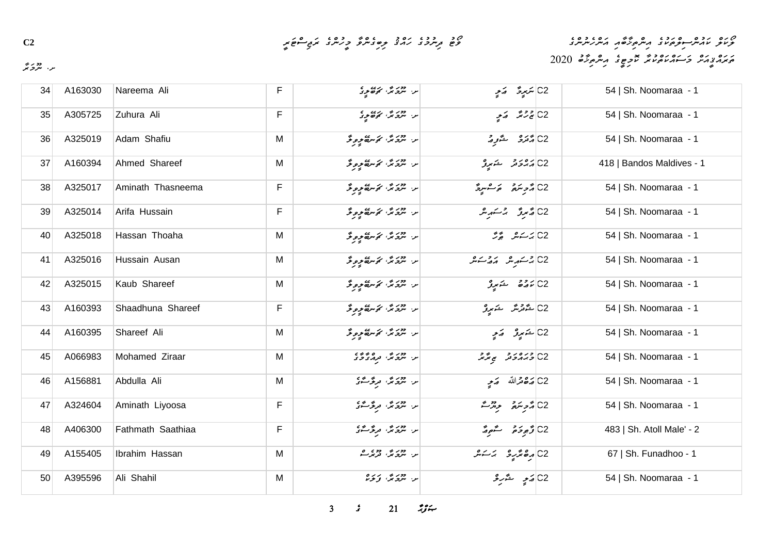*sCw7q7s5w7m< o<n9nOoAw7o< sCq;mAwBoEw7q<m; wBm;vB* م من المرة المرة المرة المرجع المرجع في المركبة 2020<br>مجم*د المريض المربوط المربع المرجع في المراجع المركبة* 

| 34 | A163030 | Nareema Ali       | F            | س سروس کانحام دی          | C2 سَمِيرَةٌ صَعِي                                                                                                  | 54   Sh. Noomaraa - 1     |
|----|---------|-------------------|--------------|---------------------------|---------------------------------------------------------------------------------------------------------------------|---------------------------|
| 35 | A305725 | Zuhura Ali        | $\mathsf F$  | مر دور و برده و د         | C2 يح جميز مي مير ج                                                                                                 | 54   Sh. Noomaraa - 1     |
| 36 | A325019 | Adam Shafiu       | M            | ىر. ئىزدىگە كۇسقامچوقە ئى | C2 مُرْتَرْدَ شَّرْرِ مُّ                                                                                           | 54   Sh. Noomaraa - 1     |
| 37 | A160394 | Ahmed Shareef     | M            | ىن شركتى كۆسھىم بورگ      | C2 <i>مەندى ئىشى بىتى</i> ئىشتى بىر ئىشتى بىر ئىشتى بىر ئىشتى بىر ئىشتى بىر ئىشتى بىر ئىشتى بىر ئىشتى بىر ئىشتى بىر | 418   Bandos Maldives - 1 |
| 38 | A325017 | Aminath Thasneema | F            | ىن سىرتى ئۇسقەم بورگە     | C2 مُجَرِسَمَ <i>ة مَ سُ</i> سِرَةُ                                                                                 | 54   Sh. Noomaraa - 1     |
| 39 | A325014 | Arifa Hussain     | $\mathsf{F}$ | ىر. شەنگە ئۇسقەم بەگ      | C2 م <i>ەتبىرق بى</i> سىمب <i>ىرى</i> ر                                                                             | 54   Sh. Noomaraa - 1     |
| 40 | A325018 | Hassan Thoaha     | M            | ىر. ئىزدىگە كۇسقەنومۇ ئى  | C2 بَرْسَسْ چُرَّ                                                                                                   | 54   Sh. Noomaraa - 1     |
| 41 | A325016 | Hussain Ausan     | M            | ىن شرىرىگە ئۇسقەم بورگە   | C2 ئەسىمبە ھەر ئەرگە ئىككىر                                                                                         | 54   Sh. Noomaraa - 1     |
| 42 | A325015 | Kaub Shareef      | M            | ىن سىرتى ئۇسقەم بورگە     | $3.42$ $-2.26$ $-2.22$                                                                                              | 54   Sh. Noomaraa - 1     |
| 43 | A160393 | Shaadhuna Shareef | F            | ىر. ئىزدىكى كۇسقەم بولۇ   | C2 شۇنرى <i>گە</i> ش <i>ەيرى</i> ۋ                                                                                  | 54   Sh. Noomaraa - 1     |
| 44 | A160395 | Shareef Ali       | M            | ىر. ئىزدىگە كۆسھىر بولۇ   | C2 ڪنوبر <i>و مک</i> مي                                                                                             | 54   Sh. Noomaraa - 1     |
| 45 | A066983 | Mohamed Ziraar    | M            | ر دور ده و ده ده          | C2 <i>جەندە دىر</i> پەيگەنز                                                                                         | 54   Sh. Noomaraa - 1     |
| 46 | A156881 | Abdulla Ali       | M            | ىر. «رى» برۇشى            | C2 مَەھمَّدَاللَّهُ      مَعِ                                                                                       | 54   Sh. Noomaraa - 1     |
| 47 | A324604 | Aminath Liyoosa   | F            | ىر. «رى» برۇشى            | C2 مُوسَعة وِمَرْتَهُ                                                                                               | 54   Sh. Noomaraa - 1     |
| 48 | A406300 | Fathmath Saathiaa | F            | ىر. «رى» برۇشى            | C2 توجو محمومًا                                                                                                     | 483   Sh. Atoll Male' - 2 |
| 49 | A155405 | Ibrahim Hassan    | M            | ىر. «دىر « دى             | C2 مەھە <i>ترى</i> دۇ كەسكەنلە                                                                                      | 67   Sh. Funadhoo - 1     |
| 50 | A395596 | Ali Shahil        | M            | ىر. «دىرى» ۋىۋى           | C2 <i>جَرْمٍ</i> مُشْرِعٌرِ                                                                                         | 54   Sh. Noomaraa - 1     |

*3 sC 21 nNw?mS*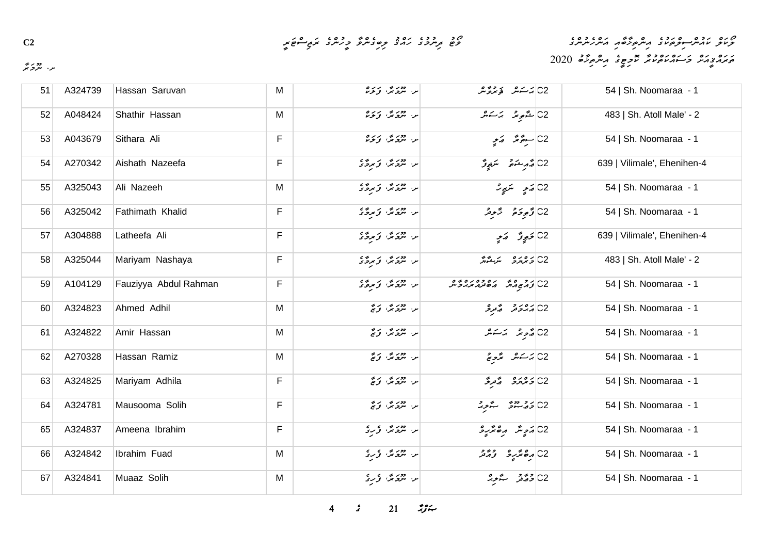*sCw7q7s5w7m< o<n9nOoAw7o< sCq;mAwBoEw7q<m; wBm;vB* م من المرة المرة المرة المرجع المرجع في المركبة 2020<br>مجم*د المريض المربوط المربع المرجع في المراجع المركبة* 

| 51 | A324739 | Hassan Saruvan        | M           | ىر. شۇنىگە ئەقرى                  | C2 ئەسەمبەر ئ <sub>ە</sub> مەھەتىر                                                                                                                                                                                              | 54   Sh. Noomaraa - 1       |
|----|---------|-----------------------|-------------|-----------------------------------|---------------------------------------------------------------------------------------------------------------------------------------------------------------------------------------------------------------------------------|-----------------------------|
| 52 | A048424 | Shathir Hassan        | M           | ىر. شەپرى ئەترە                   | C2 ش <i>قىم</i> وتىر كەسكىلگە                                                                                                                                                                                                   | 483   Sh. Atoll Male' - 2   |
| 53 | A043679 | Sithara Ali           | F           | ىر. شەپرى ئەترە                   | C2 سو <i>موَّيْتُ</i> م <i>وَّجِ</i>                                                                                                                                                                                            | 54   Sh. Noomaraa - 1       |
| 54 | A270342 | Aishath Nazeefa       | F           | برا بترديما كالرداد               | C2 مەم ئىسكە ئىس بىر ئىس ئىس ئىس ئىس ئىس ئىس ئىس ئىستان ئىستان ئىس ئىس ئىستان ئىستان ئىستان ئىستان ئىستان ئىس<br>مەم ئىستان ئىستان ئىستان ئىستان ئىستان ئىستان ئىستان ئىستان ئىستان ئىستان ئىستان ئىستان ئىستان ئىستان ئىستان ئ | 639   Vilimale', Ehenihen-4 |
| 55 | A325043 | Ali Nazeeh            | M           | ىر. «دىرى» كەيدۇكى                | C2 <i>ھَ۔</i> سَمِي <sup>2</sup>                                                                                                                                                                                                | 54   Sh. Noomaraa - 1       |
| 56 | A325042 | Fathimath Khalid      | $\mathsf F$ | ىن ئىزدىمى كەيدۇر                 | C2 تَ <i>وْجِوْجُو</i> تَرْ <i>جِيرُ</i>                                                                                                                                                                                        | 54   Sh. Noomaraa - 1       |
| 57 | A304888 | Latheefa Ali          | F           | ىر. «رىق، ئەبدۇ ئ                 | C2 كَيُوتَنْ     مَرْمٍ                                                                                                                                                                                                         | 639   Vilimale', Ehenihen-4 |
| 58 | A325044 | Mariyam Nashaya       | $\mathsf F$ | س بير ديد محمد تر برگري کرد.<br>س | C2 <i>و برور و</i> سَرَحْتَهُ گُ                                                                                                                                                                                                | 483   Sh. Atoll Male' - 2   |
| 59 | A104129 | Fauziyya Abdul Rahman | F           | برا المردوحي كالمرتجان            | C2 <i>נהאת הספטרא</i> גלית                                                                                                                                                                                                      | 54   Sh. Noomaraa - 1       |
| 60 | A324823 | Ahmed Adhil           | M           | ىر. ئەچرىق، ئەنج                  | C2 كەندى قىرىمى ئىل                                                                                                                                                                                                             | 54   Sh. Noomaraa - 1       |
| 61 | A324822 | Amir Hassan           | M           | ىر. ئەچرىق، ئەنج                  | C2 مجموعة المحك محكمة                                                                                                                                                                                                           | 54   Sh. Noomaraa - 1       |
| 62 | A270328 | Hassan Ramiz          | M           | ىر. ئەچرىق، ئەنج                  | C2 ئەسەنى <i>ش مەڭرىيىتى</i>                                                                                                                                                                                                    | 54   Sh. Noomaraa - 1       |
| 63 | A324825 | Mariyam Adhila        | $\mathsf F$ | ىر. شۇنتى، ئەنج                   | C2 كەممەر ئەرگەرگە                                                                                                                                                                                                              | 54   Sh. Noomaraa - 1       |
| 64 | A324781 | Mausooma Solih        | F           | ىر سۇنەش، ئەنج                    | C2 <i>خەشبىرى بەلگى</i> ر                                                                                                                                                                                                       | 54   Sh. Noomaraa - 1       |
| 65 | A324837 | Ameena Ibrahim        | F           | ىر. ئەچمەنگە، ئۇرى                | $\mathcal{S}_{\mathcal{L}}$ مَحٍ سَمَّ رەھ مَدَّرِ 3                                                                                                                                                                            | 54   Sh. Noomaraa - 1       |
| 66 | A324842 | Ibrahim Fuad          | M           | ىن شۇش ۋىرى                       | C2 مەھەمگەيدى ئەمەمىر                                                                                                                                                                                                           | 54   Sh. Noomaraa - 1       |
| 67 | A324841 | Muaaz Solih           | M           | ىر. ئۇچەنگە، ئۇرى                 | C2 دَمَّةْرْ جُعِ <i>دْ</i>                                                                                                                                                                                                     | 54   Sh. Noomaraa - 1       |

*4 sC 21 nNw?mS*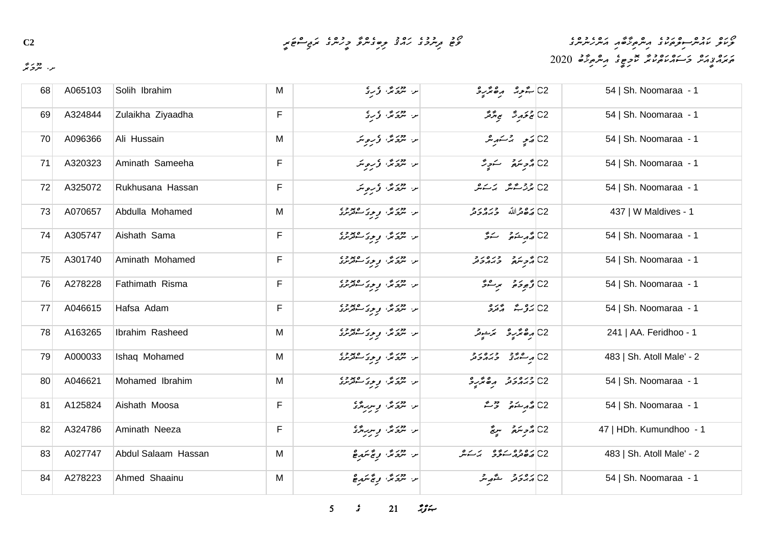*sCw7q7s5w7m< o<n9nOoAw7o< sCq;mAwBoEw7q<m; wBm;vB* م من المرة المرة المرة المرجع المرجع في المركبة 2020<br>مجم*د المريض المربوط المربع المرجع في المراجع المركبة* 

| 68 | A065103 | Solih Ibrahim       | M            | ىن ئىرى تەرى                                                                                                   | C2 جۇمبە مەھ <i>م</i> ىرى       | 54   Sh. Noomaraa - 1     |
|----|---------|---------------------|--------------|----------------------------------------------------------------------------------------------------------------|---------------------------------|---------------------------|
| 69 | A324844 | Zulaikha Ziyaadha   | F            | ىن شۇش ۋىرى                                                                                                    | C2 ىنج ئىرى <i>گە</i> بىر ئىر   | 54   Sh. Noomaraa - 1     |
| 70 | A096366 | Ali Hussain         | M            | ىن ئىزدىم كۆرۈنكە                                                                                              | C2 <i>مَج بِرْسَم</i> بِر مِسْ  | 54   Sh. Noomaraa - 1     |
| 71 | A320323 | Aminath Sameeha     | $\mathsf F$  | ىن ئىردىم كۆرۈش                                                                                                | C2 مُجْرِسَمُ مَنْ سَوَيْرَ     | 54   Sh. Noomaraa - 1     |
| 72 | A325072 | Rukhusana Hassan    | F            | ىر. ھەم ئى بەيت                                                                                                | C2 يۇرتىگە ئەس <i>تەنگ</i> ە    | 54   Sh. Noomaraa - 1     |
| 73 | A070657 | Abdulla Mohamed     | M            | یں میں شرکت وجہ کا مقدمت                                                                                       | C2 مَەقراللە <i>جەم</i> رىر     | 437   W Maldives - 1      |
| 74 | A305747 | Aishath Sama        | $\mathsf F$  | یں میں گھری وجہ کے معروفات                                                                                     | $5 - 22$ $\sim 2$               | 54   Sh. Noomaraa - 1     |
| 75 | A301740 | Aminath Mohamed     | $\mathsf F$  | یں میں گھری وجہ کا معدوم                                                                                       | C2 <i>مُّحِسَمُ حَدَمُحَةَ</i>  | 54   Sh. Noomaraa - 1     |
| 76 | A278228 | Fathimath Risma     | $\mathsf F$  | یں میں مگر میں استعمال ہونے کی استعمال کر میں اس کی مگر ہونے کی اس کا اس کا اس کا اس کا اس کا اس کا اس کا اس ک | C2 تۇ <sub>م</sub> وخۇ بېرىشۇ   | 54   Sh. Noomaraa - 1     |
| 77 | A046615 | Hafsa Adam          | $\mathsf F$  | ىن سىن شەرق بولىرى مەدەر.<br>سىن سىن شىر ئىس بىرى سىن بىرى                                                     | C2 ئەۋىبە مەمر <i>ۈ</i>         | 54   Sh. Noomaraa - 1     |
| 78 | A163265 | Ibrahim Rasheed     | M            | ین میژوند وجود کشورده                                                                                          | C2 م <i>وھ مگرچ</i> و محمد محمد | 241   AA. Feridhoo - 1    |
| 79 | A000033 | Ishaq Mohamed       | M            | ین میں پڑکا وجہ کا معدوم                                                                                       | C2 م شور وره در د               | 483   Sh. Atoll Male' - 2 |
| 80 | A046621 | Mohamed Ibrahim     | M            | بر انجرنز و در معدده                                                                                           |                                 | 54   Sh. Noomaraa - 1     |
| 81 | A125824 | Aishath Moosa       | $\mathsf{F}$ | بر انتهار المراسم المجمع                                                                                       | $23 - 20 - 20 = 22$             | 54   Sh. Noomaraa - 1     |
| 82 | A324786 | Aminath Neeza       | F            | یں انگریزی و سربرانزی                                                                                          | C2 مُجِسَعَةٌ سِيَّةٌ           | 47   HDh. Kumundhoo - 1   |
| 83 | A027747 | Abdul Salaam Hassan | M            | ر سرد به ویخشمه                                                                                                | C2 مەھ <i>رم سۇۋەر كەس</i> كىر  | 483   Sh. Atoll Male' - 2 |
| 84 | A278223 | Ahmed Shaainu       | M            | ىر. ئىرچە ئۇ ئەسىر ق                                                                                           | C2 <i>محمد حق</i> م مثر         | 54   Sh. Noomaraa - 1     |

 $5$   $5$   $21$   $25$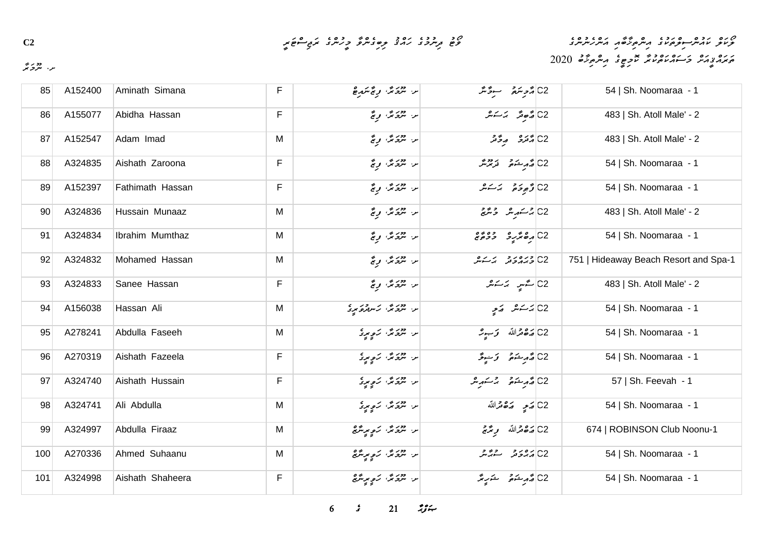*sCw7q7s5w7m< o<n9nOoAw7o< sCq;mAwBoEw7q<m; wBm;vB* م من المرة المرة المرة المرجع المرجع في المركبة 2020<br>مجم*د المريض المربوط المربع المرجع في المراجع المركبة* 

| 85  | A152400 | Aminath Simana   | F           | ىر. ئىزدىم، رىج ئىرىغ | C2 مُ <i>جِسَعُ</i> جَسَعَتُ        | 54   Sh. Noomaraa - 1                 |
|-----|---------|------------------|-------------|-----------------------|-------------------------------------|---------------------------------------|
| 86  | A155077 | Abidha Hassan    | F           | ىر. ئەردىگە، بولى     | C2 مُجەمَدٌ ب <sub>ە</sub> سكەنلەر  | 483   Sh. Atoll Male' - 2             |
| 87  | A152547 | Adam Imad        | M           | ىر. ئەردىگە، بايج     | C2 يُرترق م <i>ب</i> رديمر          | 483   Sh. Atoll Male' - 2             |
| 88  | A324835 | Aishath Zaroona  | F           | ىن ئىترىمىتى، بايج    | C2 مەم شىرىق ئىرتىرىتىگە            | 54   Sh. Noomaraa - 1                 |
| 89  | A152397 | Fathimath Hassan | $\mathsf F$ | ىر. ئەرىمىگە بولىچ    | C2 ۇ <sub>ج</sub> وڭ ئەسكىگە        | 54   Sh. Noomaraa - 1                 |
| 90  | A324836 | Hussain Munaaz   | M           | ىر. ئۇچەنگە، بولى     | C2 بر <i>شهر شده</i> و شرح          | 483   Sh. Atoll Male' - 2             |
| 91  | A324834 | Ibrahim Mumthaz  | M           | ىر. ئۇچەنگە، بولىچ    | C2 مەھمەر 250,50 co                 | 54   Sh. Noomaraa - 1                 |
| 92  | A324832 | Mohamed Hassan   | M           | ىر. ئەچرىش، بەلج      | C2 <i>ۋېرو دې برگېنگ</i> ر          | 751   Hideaway Beach Resort and Spa-1 |
| 93  | A324833 | Sanee Hassan     | F           | ىر. ئۇچ ئىگە بولىچ    | C2 سمبر برسکرملر                    | 483   Sh. Atoll Male' - 2             |
| 94  | A156038 | Hassan Ali       | M           | ىن سىردىكى كەسلەرى    | C2 ئەس <i>تەنلە</i> كەيجە           | 54   Sh. Noomaraa - 1                 |
| 95  | A278241 | Abdulla Faseeh   | M           | ىر. «دىرى» كەھ بىرى   | C2 مَەھىراللە   ترىبور              | 54   Sh. Noomaraa - 1                 |
| 96  | A270319 | Aishath Fazeela  | F           | ىر. ھەمگە ئەھمىرى     | C2 مەم ھەم ئۇسوگە                   | 54   Sh. Noomaraa - 1                 |
| 97  | A324740 | Aishath Hussain  | $\mathsf F$ | ىر. ھەتتى، ئەھ بىرى   | C2 مەم شىھ بىر شىرىشر               | 57   Sh. Feevah - 1                   |
| 98  | A324741 | Ali Abdulla      | M           | ىر. ھەتتى، ئەھ بوق    | C2 <i>مَجِ مَـُـ</i> هُ مَّراللّه   | 54   Sh. Noomaraa - 1                 |
| 99  | A324997 | Abdulla Firaaz   | M           | ىر. شەنبۇ، ئەھ بىر شى | C2 مَەھىراللە م <sub>و</sub> مَّدىم | 674   ROBINSON Club Noonu-1           |
| 100 | A270336 | Ahmed Suhaanu    | M           | ىر. شەنبۇ، ئەھ بىر شى | C2 <i>محمد حديد</i> مستقريبر        | 54   Sh. Noomaraa - 1                 |
| 101 | A324998 | Aishath Shaheera | F           | ىر. ئىرچە ئۇ ئوم ئىر  | C2 مۇم شىم ئىستىر <i>مى</i> گە      | 54   Sh. Noomaraa - 1                 |

 $6$   $3$   $21$   $23$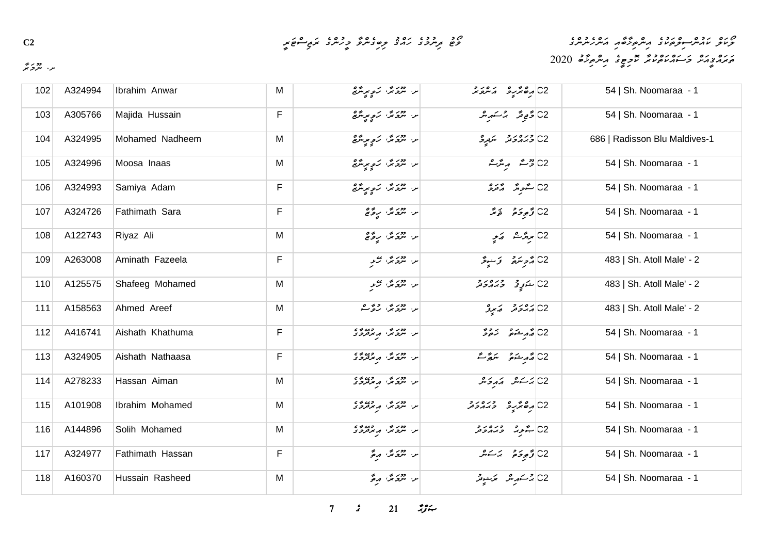*sCw7q7s5w7m< o<n9nOoAw7o< sCq;mAwBoEw7q<m; wBm;vB* م من المرة المرة المرة المرجع المرجع في المركبة 2020<br>مجم*د المريض المربوط المربع المرجع في المراجع المركبة* 

| 102 | A324994 | Ibrahim Anwar    | M           | ىر. شۇنگە ئوپرىگە                                  | C2 مەھ <i>مگرى</i> مەمكىمىتى ئىستىمىتىكى بىر                                               | 54   Sh. Noomaraa - 1         |
|-----|---------|------------------|-------------|----------------------------------------------------|--------------------------------------------------------------------------------------------|-------------------------------|
| 103 | A305766 | Majida Hussain   | F           | ىر. ئىزدىكە كەي بېرىكرچ                            | C2 حَمْ مِعْ مَرْ سَنَ مِرْ مِسْرِ مِسْرِ                                                  | 54   Sh. Noomaraa - 1         |
| 104 | A324995 | Mohamed Nadheem  | M           | ىر. ئىزدىكە كەم بېرىگى                             | C2 <i>3223 سكير 5</i>                                                                      | 686   Radisson Blu Maldives-1 |
| 105 | A324996 | Moosa Inaas      | M           | بر مدد به رکوبرمگرم                                | C2 ۾ مٿر شيڪ                                                                               | 54   Sh. Noomaraa - 1         |
| 106 | A324993 | Samiya Adam      | F           | ىر. ئىزدىكە كەم بېرىگى                             | C2 گەجەم <i>ە</i> مەمرى                                                                    | 54   Sh. Noomaraa - 1         |
| 107 | A324726 | Fathimath Sara   | F           | الراسترونتر، رومي                                  | C2 تۇ <sub>جو</sub> خۇ ھۆتتى                                                               | 54   Sh. Noomaraa - 1         |
| 108 | A122743 | Riyaz Ali        | M           | ىر. ئۇچ ئەڭ بەرگەنج                                | C2 مبرمز شہر م <i>زم</i> ر                                                                 | 54   Sh. Noomaraa - 1         |
| 109 | A263008 | Aminath Fazeela  | F           | ىر. ئەرىمىگە ئەسىر                                 | C2 مُتَّحِسَّمَةُ وَسَيْخَ                                                                 | 483   Sh. Atoll Male' - 2     |
| 110 | A125575 | Shafeeg Mohamed  | M           | ىر، ئەردىمى، ئەب                                   | C2 ش <i>وي<sup>ق</sup> خىنم</i> خىر                                                        | 483   Sh. Atoll Male' - 2     |
| 111 | A158563 | Ahmed Areef      | M           | ىر. «دىرى رەك ھ                                    | C2 كەندى كەر كەر بول                                                                       | 483   Sh. Atoll Male' - 2     |
| 112 | A416741 | Aishath Khathuma | F           | مز. اور بر<br>مز. مرونگر، <sub>ا</sub> ر برگروی    | $5.52$ $\frac{2}{3}$ $\frac{2}{3}$ $\frac{2}{3}$ $\frac{2}{3}$ $\frac{2}{3}$ $\frac{2}{3}$ | 54   Sh. Noomaraa - 1         |
| 113 | A324905 | Aishath Nathaasa | $\mathsf F$ | مز. اور به اروپاره و.<br>مز. سرچانگر، ابر مرفرو و. | C2 مۇم ئىق ئىقمى ئىستى ئىستى ئىستى                                                         | 54   Sh. Noomaraa - 1         |
| 114 | A278233 | Hassan Aiman     | M           | ת - דבור ובין ביורדים<br>תי יינבית' והיינביבים     | C2 ئەسەھ م <i>ەم</i> ۇھر                                                                   | 54   Sh. Noomaraa - 1         |
| 115 | A101908 | Ibrahim Mohamed  | M           | مز. اور به اروپاره و.<br>مز. سرچانگر، ابر مرفرو و. | C2 مەھەر بول مەدەبىر                                                                       | 54   Sh. Noomaraa - 1         |
| 116 | A144896 | Solih Mohamed    | M           | مز. اور به اروپاره و.<br>مز. سرچانگر، ابر مرفرو و. | C2 جۇمۇر مەدەمەد                                                                           | 54   Sh. Noomaraa - 1         |
| 117 | A324977 | Fathimath Hassan | F           | ىر بىردىكى مۇ                                      | C2 <i>ۋې<sub>ۋ</sub>خۇ بىكسى</i> ر                                                         | 54   Sh. Noomaraa - 1         |
| 118 | A160370 | Hussain Rasheed  | M           | ىن ئىرچە ئەرەتچ                                    | C2  ترستمبریش   ترسیفر                                                                     | 54   Sh. Noomaraa - 1         |

 $7$  *s*  $21$  *z***<sub>3</sub>**  $\leftarrow$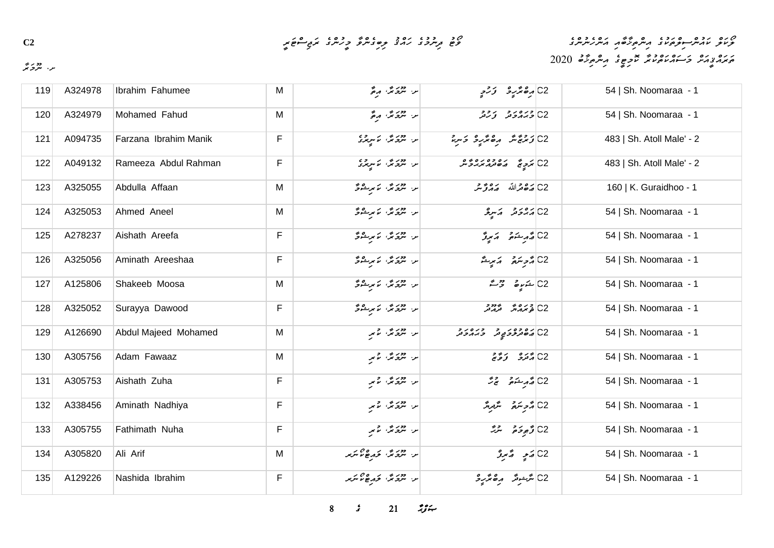*sCw7q7s5w7m< o<n9nOoAw7o< sCq;mAwBoEw7q<m; wBm;vB* م من المرة المرة المرة المرجع المرجع في المركبة 2020<br>مجم*د المريض المربوط المربع المرجع في المراجع المركبة* 

| 119 | A324978 | Ibrahim Fahumee       | M            | ىن ئىرتىز ئىگە بەر ئى            | C2 م <i>ەھتىب</i> ۇ ئ <i>ۇرقى</i>                                                    | 54   Sh. Noomaraa - 1     |
|-----|---------|-----------------------|--------------|----------------------------------|--------------------------------------------------------------------------------------|---------------------------|
| 120 | A324979 | Mohamed Fahud         | M            | بر. حرير مريح                    | C2 <i>32,023</i> ورقر                                                                | 54   Sh. Noomaraa - 1     |
| 121 | A094735 | Farzana Ibrahim Manik | F            | یں انہوں کا مریزی                | C2 <i>وَ بِرْبِيَّ مَّنْ</i> مِنْ مِرْسِرِدْ - دَسِرْتَمْ                            | 483   Sh. Atoll Male' - 2 |
| 122 | A049132 | Rameeza Abdul Rahman  | $\mathsf F$  | برا مرد محمد الأسر برد           | C2 <i>بزوج مەھىرە بو</i> ە                                                           | 483   Sh. Atoll Male' - 2 |
| 123 | A325055 | Abdulla Affaan        | M            | ىر. 200 كەنبەشى                  | C2 مَەقىراللە مەر <i>ۇ</i> تىر                                                       | 160   K. Guraidhoo - 1    |
| 124 | A325053 | Ahmed Aneel           | M            | ىر. شەيرى ئەيرىشەۋ               | C2 <i>مُدْدَوْرْ م</i> َسِرْدُ                                                       | 54   Sh. Noomaraa - 1     |
| 125 | A278237 | Aishath Areefa        | F            | ا دور ده کام ده د                | C2 مەم ئىسكەن مەسمى <i>رى</i>                                                        | 54   Sh. Noomaraa - 1     |
| 126 | A325056 | Aminath Areeshaa      | $\mathsf F$  | ر الله الله المعرف المحمد المحمد | C2 مُرْحِسَمَۃُ مَبِرِسْۃُ                                                           | 54   Sh. Noomaraa - 1     |
| 127 | A125806 | Shakeeb Moosa         | M            | ر اور ۱۶۶۵ کامرشاده              | $23$ $24$ $\approx$ $12$                                                             | 54   Sh. Noomaraa - 1     |
| 128 | A325052 | Surayya Dawood        | F            | ىر. 2019. كەيرىشى                | C2 څ <i>و پرو</i> گر شهرمر                                                           | 54   Sh. Noomaraa - 1     |
| 129 | A126690 | Abdul Majeed Mohamed  | $\mathsf{M}$ | ىن ئىزدىم ئىمى                   | C2 مەھەر <i>جەھەر دەر د</i>                                                          | 54   Sh. Noomaraa - 1     |
| 130 | A305756 | Adam Fawaaz           | M            | ىن ئىترىمىڭ ئامېر                | C2 م <i>. ترويج</i>                                                                  | 54   Sh. Noomaraa - 1     |
| 131 | A305753 | Aishath Zuha          | $\mathsf F$  | ىر، ئىزدىمى، ئامېر               | $5\frac{2}{3}$ $\frac{2}{3}$ $\frac{2}{3}$ $\frac{2}{3}$ $\frac{2}{3}$ $\frac{2}{3}$ | 54   Sh. Noomaraa - 1     |
| 132 | A338456 | Aminath Nadhiya       | $\mathsf F$  | ىلەر ئەيزىمىگە ئىكىمىتىر         | C2 <i>مُؤْخِذَ مُؤَمِّرةُ</i>                                                        | 54   Sh. Noomaraa - 1     |
| 133 | A305755 | Fathimath Nuha        | F            | ىن ئىترىمىڭ ئامېر                | C2 تۇ <sub>ج</sub> وخۇ ئىرگ                                                          | 54   Sh. Noomaraa - 1     |
| 134 | A305820 | Ali Arif              | M            | ىر. شۇنمى كەمھەتتىر              | C2 <i>مَيْ مُ</i> مِرْزُ                                                             | 54   Sh. Noomaraa - 1     |
| 135 | A129226 | Nashida Ibrahim       | F            | ىر. شۇنمى كەمھەتتىر              | C2 سَّنْدِمَّدَ مِنْ مَحْرِدْ \$                                                     | 54   Sh. Noomaraa - 1     |

**8** *s* **21** *z***<sub>***s***</sub>**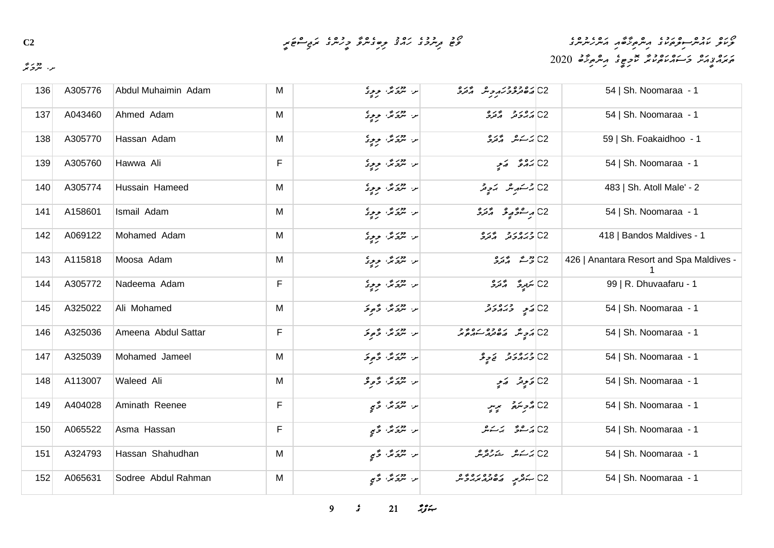*sCw7q7s5w7m< o<n9nOoAw7o< sCq;mAwBoEw7q<m; wBm;vB* م من المرة المرة المرة المرجع المرجع في المركبة 2020<br>مجم*د المريض المربوط المربع المرجع في المراجع المركبة* 

| 136 | A305776 | Abdul Muhaimin Adam | M           | من منزند معرضه و مربور | C2 مەھىر <i>ۈدىم</i> رىر مەرد                                                       | 54   Sh. Noomaraa - 1                    |
|-----|---------|---------------------|-------------|------------------------|-------------------------------------------------------------------------------------|------------------------------------------|
| 137 | A043460 | Ahmed Adam          | M           | ىر. ئۇچ ئىگە جەجەتى    | $5.5$ $5.25$ $C2$                                                                   | 54   Sh. Noomaraa - 1                    |
| 138 | A305770 | Hassan Adam         | M           | ىر. ئۇچ ئىگە مومۇلى    | C2 ئەسەئىر م <i>ەترى</i>                                                            | 59   Sh. Foakaidhoo - 1                  |
| 139 | A305760 | Hawwa Ali           | F           | ىر. ئۇنىڭ بويى         | $\frac{1}{2}$ $\frac{2}{9}$ $\frac{2}{9}$ $\frac{2}{9}$ $\frac{2}{9}$ $\frac{2}{9}$ | 54   Sh. Noomaraa - 1                    |
| 140 | A305774 | Hussain Hameed      | M           | یں میں میں مرمزی       | C2 بر سَمبر سَر بَرْحِ مَرْ                                                         | 483   Sh. Atoll Male' - 2                |
| 141 | A158601 | Ismail Adam         | M           | یں میں میں مرموی       | C2 م <i>وسٹوڈ می<sup>و</sup> مق</i> رف                                              | 54   Sh. Noomaraa - 1                    |
| 142 | A069122 | Mohamed Adam        | M           | بر. نترى ئې موموتى     | C2 32023 كره                                                                        | 418   Bandos Maldives - 1                |
| 143 | A115818 | Moosa Adam          | M           | ىر. ئۇچ ئىگە مۇمۇلى    | C2 رُمَرَدُ                                                                         | 426   Anantara Resort and Spa Maldives - |
| 144 | A305772 | Nadeema Adam        | F           | یں میں میں مرمزی       | C2 سَمِرِدَّ مُحَمَّدَ                                                              | 99   R. Dhuvaafaru - 1                   |
| 145 | A325022 | Ali Mohamed         | M           | ىر. شەنگە ئەم ئى       | C2 <i>مَجْدِ حَمَدُو</i> مَر                                                        | 54   Sh. Noomaraa - 1                    |
| 146 | A325036 | Ameena Abdul Sattar | $\mathsf F$ | ىر. «دىرىگە ئەمەن      | C2 <i>הבת הסנה-יחתי</i>                                                             | 54   Sh. Noomaraa - 1                    |
| 147 | A325039 | Mohamed Jameel      | M           | ىر. ئۇنجەنگە، ئۇمۇنجە  | C2 <i>جەنگە جۇ قو</i> تۇ                                                            | 54   Sh. Noomaraa - 1                    |
| 148 | A113007 | Waleed Ali          | M           | ىر. ئەردىگە ئەم بى     | C2 <i>وَجِعْدَ م</i> َجِ                                                            | 54   Sh. Noomaraa - 1                    |
| 149 | A404028 | Aminath Reenee      | $\mathsf F$ | ىر. ئەردىگە، دېمى      | C2 مُتَّحِسَّعَةُ مَسِيِّبِ                                                         | 54   Sh. Noomaraa - 1                    |
| 150 | A065522 | Asma Hassan         | F           | ىر. ئۇچەنگە، ئۇي       | C2 كەشق <sub>ى</sub> ئەس <i>تەنگ</i> ە                                              | 54   Sh. Noomaraa - 1                    |
| 151 | A324793 | Hassan Shahudhan    | M           | ىن ئۆزگەن ئۇي          | C2 ئەس <i>تەش خەرتۇش</i>                                                            | 54   Sh. Noomaraa - 1                    |
| 152 | A065631 | Sodree Abdul Rahman | M           |                        | C2 جوړ پره ده ره ده<br>C2 جوړي پره دره بربرو س                                      | 54   Sh. Noomaraa - 1                    |

*9 s* 21 *i*<sub>s</sub> $\approx$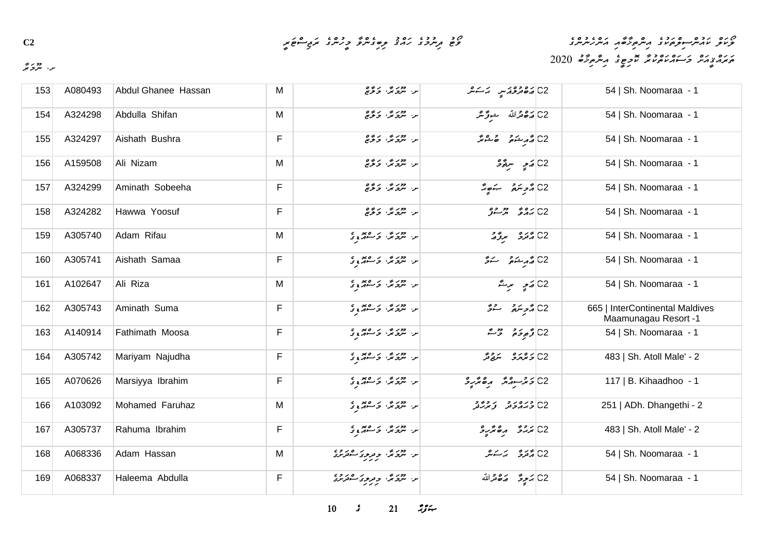*sCw7q7s5w7m< o<n9nOoAw7o< sCq;mAwBoEw7q<m; wBm;vB* م من المرة المرة المرة المرجع المرجع في المركبة 2020<br>مجم*د المريض المربوط المربع المرجع في المراجع المركبة* 

| 153 | A080493 | Abdul Ghanee Hassan | M            | ىر. «دىر» كەنگە                                      | C2 <i>مەھەر ئەرىر بىر سەنگ</i> ە      | 54   Sh. Noomaraa - 1                                   |
|-----|---------|---------------------|--------------|------------------------------------------------------|---------------------------------------|---------------------------------------------------------|
| 154 | A324298 | Abdulla Shifan      | м            | ىر. «دىرى» كەنزى                                     | C2 كَمْ5ْ مْرْاللّه مْسِوّْسْر        | 54   Sh. Noomaraa - 1                                   |
| 155 | A324297 | Aishath Bushra      | F            | ىر: شەنزىق، ئەنزى                                    | C2 مەم شىر ھەشىمە                     | 54   Sh. Noomaraa - 1                                   |
| 156 | A159508 | Ali Nizam           | M            | ىر: شەرق، كەندە                                      | C2 مَرِ سِہُوْ                        | 54   Sh. Noomaraa - 1                                   |
| 157 | A324299 | Aminath Sobeeha     | F            | ىر: شەرق، كەندە                                      | C2 مُجَمَّدٍ حَسَنَةٍ مُسَبِّئٍ       | 54   Sh. Noomaraa - 1                                   |
| 158 | A324282 | Hawwa Yoosuf        | $\mathsf{F}$ | ىر. «دىرى» كەلگە                                     | C2 بَرْدَةُ بِرْبَةٍ                  | 54   Sh. Noomaraa - 1                                   |
| 159 | A305740 | Adam Rifau          | M            | در اور به ارامه دارد.<br>در امروس کرکرده دارد        | C2 مُرْمَرْدَ مِرْدُّمْهُ             | 54   Sh. Noomaraa - 1                                   |
| 160 | A305741 | Aishath Samaa       | $\mathsf F$  | س دور ده د ۶۵ و.                                     | $5 - 22$ $\sim 2$                     | 54   Sh. Noomaraa - 1                                   |
| 161 | A102647 | Ali Riza            | M            | س المرد المراجع الم                                  | C2 ړَم مِرتَّہ                        | 54   Sh. Noomaraa - 1                                   |
| 162 | A305743 | Aminath Suma        | F            | س دور ده د ۶۵ و.                                     | C2 مُجِسَعَةٍ مُسْتَرَّ               | 665   InterContinental Maldives<br>Maamunagau Resort -1 |
| 163 | A140914 | Fathimath Moosa     | F            | س دوری کر ویو و                                      | $23$ $25.5$ $22$                      | 54   Sh. Noomaraa - 1                                   |
| 164 | A305742 | Mariyam Najudha     | F            | س المرد به در ۲۵ در د                                | C2 <i>و برو مروغ</i> ر                | 483   Sh. Atoll Male' - 2                               |
| 165 | A070626 | Marsiyya Ibrahim    | $\mathsf F$  | س دوری کرده و د                                      | C2 <i>ختر سوم</i> تر م <i>تھ مرّب</i> | 117   B. Kihaadhoo - 1                                  |
| 166 | A103092 | Mohamed Faruhaz     | M            | س دور ده د ۶۵ و.                                     | C2 <i>ב</i> גמכנג צעלע                | 251   ADh. Dhangethi - 2                                |
| 167 | A305737 | Rahuma Ibrahim      | F            | س المرد من المراجع الم                               | C2 <i>بزرڈ م</i> ھٹر <i>ب</i> و       | 483   Sh. Atoll Male' - 2                               |
| 168 | A068336 | Adam Hassan         | M            | ىر. مەن ئەڭ جەمەمەت <i>قەرىرى</i>                    | C2 كەنىزى بەسەئىر                     | 54   Sh. Noomaraa - 1                                   |
| 169 | A068337 | Haleema Abdulla     | F            | ىر. چې ئەگە ئەھرىرى سەمەرىرى<br>ئار ئىركەنگە ئەھرىرى | C2 <i>بَيْرِيَّة مَنْ مَثَ</i> اللَّه | 54   Sh. Noomaraa - 1                                   |

 $10$  *s*  $21$  *z***<sub>3</sub>**  $\frac{2}{3}$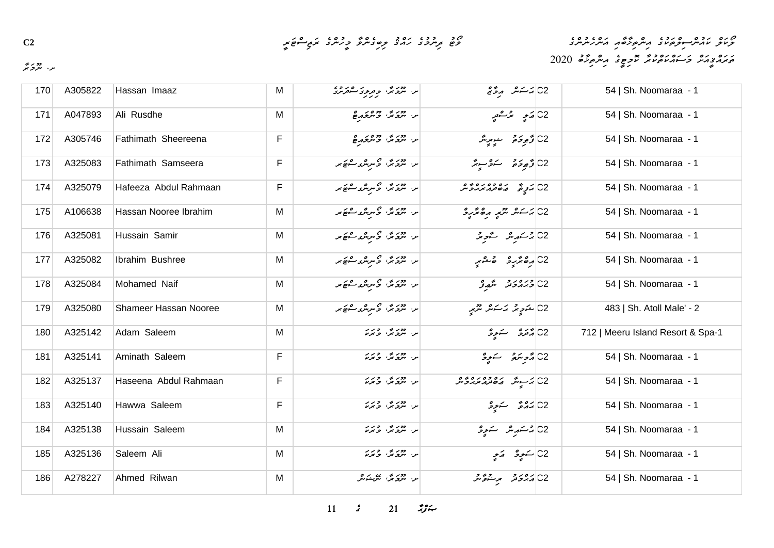*sCw7q7s5w7m< o<n9nOoAw7o< sCq;mAwBoEw7q<m; wBm;vB* م من المرة المرة المرة المرجع المرجع في المركبة 2020<br>مجم*د المريض المربوط المربع المرجع في المراجع المركبة* 

| 170 | A305822 | Hassan Imaaz          | M           | ىر. مەدىرى، <sub>جەنب</sub> ەر مەدىرى<br>س                                                                    | C2 ئەسەمى <i>ر م</i> ە <i>ڭتى</i>    | 54   Sh. Noomaraa - 1             |
|-----|---------|-----------------------|-------------|---------------------------------------------------------------------------------------------------------------|--------------------------------------|-----------------------------------|
| 171 | A047893 | Ali Rusdhe            | M           | س مورد و دوره                                                                                                 | C2 <i>ھَ۔ ج</i> ي مُحتقي             | 54   Sh. Noomaraa - 1             |
| 172 | A305746 | Fathimath Sheereena   | F           | مز الروم الأوراق                                                                                              | C2 تۇ <sub>جو</sub> خۇ ھەمپەتتر      | 54   Sh. Noomaraa - 1             |
| 173 | A325083 | Fathimath Samseera    | $\mathsf F$ | الله المرد من المعروف المراجع من المراجع المراجع                                                              | C2 <i>ۋېدۇ</i> مۇ سۇھرىيۇ            | 54   Sh. Noomaraa - 1             |
| 174 | A325079 | Hafeeza Abdul Rahmaan | F           | ر مرد می و مرهد مقدر                                                                                          | C2 <i>ټونځ مەھىرم برو</i> مبر        | 54   Sh. Noomaraa - 1             |
| 175 | A106638 | Hassan Nooree Ibrahim | M           | الله المرد من المحمد المرد المرد المرد المرد المرد المرد المرد المرد المرد المرد المرد المرد المرد ا          | C2 ئەسەملا مىزىيە مەھ <i>مگرى</i> دۇ | 54   Sh. Noomaraa - 1             |
| 176 | A325081 | Hussain Samir         | M           | ىر سروسى كەس ھەر ئەھ                                                                                          | C2 پر سنہ ہر مستقب <i>ر بڑ</i>       | 54   Sh. Noomaraa - 1             |
| 177 | A325082 | Ibrahim Bushree       | M           | ىر سرچاپى كەس ھەر ھەم                                                                                         | C2 م <i>ەھگرى</i> ھىشمىر             | 54   Sh. Noomaraa - 1             |
| 178 | A325084 | Mohamed Naif          | M           | س موری کی مرهمی منظم                                                                                          | C2 <i>جەممى</i> تەر شمەر             | 54   Sh. Noomaraa - 1             |
| 179 | A325080 | Shameer Hassan Nooree | M           | الله المرد على المريض المرد المرد المرد المرد المرد المرد المرد المرد المرد المرد المرد المرد المرد المرد الم | C2 ڪوچر برڪير نقر <sub>مي</sub>      | 483   Sh. Atoll Male' - 2         |
| 180 | A325142 | Adam Saleem           | M           | ىر. 122 <i>مى 272.</i><br>مەسىرى <i>كى 372.</i>                                                               | C2 مُحَمَّدٌ سَمَوِدٌ                | 712   Meeru Island Resort & Spa-1 |
| 181 | A325141 | Aminath Saleem        | F           | ىن سىرىمى، ئەيرىم                                                                                             | C2 مُجْرِسَمُ مَعَ يَحْرِدُ          | 54   Sh. Noomaraa - 1             |
| 182 | A325137 | Haseena Abdul Rahmaan | $\mathsf F$ | ىر. 122 مى 272.<br>مەسىرى ئىل                                                                                 | C2 ئەسىس مەھەرمەم بىر ئىس            | 54   Sh. Noomaraa - 1             |
| 183 | A325140 | Hawwa Saleem          | F           | ىر. 122 مى 272.<br>مەسىرى ئىل                                                                                 | $3.52$ $5.32$ C2                     | 54   Sh. Noomaraa - 1             |
| 184 | A325138 | Hussain Saleem        | M           | תי יח <i>בית</i> ' בינון                                                                                      | C2 بڑے پر شریع کے پرو                | 54   Sh. Noomaraa - 1             |
| 185 | A325136 | Saleem Ali            | M           | ىن سىردىكى ئەترىما                                                                                            | C2 س <i>موِ</i> ءُ <sub>مَ</sub> رِ  | 54   Sh. Noomaraa - 1             |
| 186 | A278227 | Ahmed Rilwan          | M           | ىر. 1978-يى. ئۇي ئۇس                                                                                          | C2 <i>הُمحد بو مِحدِّيت ال</i>       | 54   Sh. Noomaraa - 1             |

 $11$  *s*  $21$  *n***<sub>s</sub>**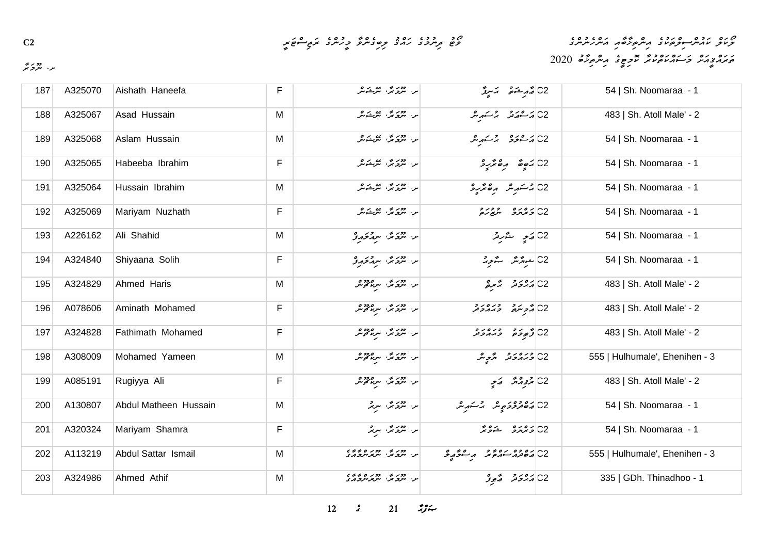*sCw7q7s5w7m< o<n9nOoAw7o< sCq;mAwBoEw7q<m; wBm;vB* م من المرة المرة المرة المرجع المرجع في المركبة 2020<br>مجم*د المريض المربوط المربع المرجع في المراجع المركبة* 

| 187 | A325070 | Aishath Haneefa       | F           | ىر، ئۆزلەر ئەربىئەس                                      | C2 م <i>ۇم ھۇم بەيدى</i> گە           | 54   Sh. Noomaraa - 1          |
|-----|---------|-----------------------|-------------|----------------------------------------------------------|---------------------------------------|--------------------------------|
| 188 | A325067 | Asad Hussain          | M           | ىر، 1978، ئۇيدىكە                                        | C2 كەسىھەتىر بەسىھەتىر                | 483   Sh. Atoll Male' - 2      |
| 189 | A325068 | Aslam Hussain         | M           | ىر. 197 كى ئىك ئىكى ئىكى                                 | C2 كەشقۇق بۇ <i>شەرى</i> گر           | 54   Sh. Noomaraa - 1          |
| 190 | A325065 | Habeeba Ibrahim       | F           | ىر، 1978، ئۇيدۇش                                         | 5, 2, 2, 2                            | 54   Sh. Noomaraa - 1          |
| 191 | A325064 | Hussain Ibrahim       | M           | ىر. 197 كى ئىك ئىكى ئىكى                                 |                                       | 54   Sh. Noomaraa - 1          |
| 192 | A325069 | Mariyam Nuzhath       | $\mathsf F$ | ىر. 197 مى، ئۇيدىكى                                      | C2 كەبىر مەدەبە                       | 54   Sh. Noomaraa - 1          |
| 193 | A226162 | Ali Shahid            | M           | ىر. شۇنما سەئۇرۇ                                         | C2 <i>ھَ۔</i> جُريْرُ                 | 54   Sh. Noomaraa - 1          |
| 194 | A324840 | Shiyaana Solih        | F           | ىر. شەنبە سەنجەر                                         | C2 شوپر شو سگو <i>پر</i>              | 54   Sh. Noomaraa - 1          |
| 195 | A324829 | Ahmed Haris           | M           | יני יינבילי יינואלייל                                    | C2 كەنزىقىر ئەسمىھى                   | 483   Sh. Atoll Male' - 2      |
| 196 | A078606 | Aminath Mohamed       | F           | ת יחבת ותעלית                                            | C2 مُجرِسَمَ ويممر ويو                | 483   Sh. Atoll Male' - 2      |
| 197 | A324828 | Fathimath Mohamed     | $\mathsf F$ | ת ידגום ותולדים                                          | C2 ژُجِرَة در درور                    | 483   Sh. Atoll Male' - 2      |
| 198 | A308009 | Mohamed Yameen        | M           | ת ידגול תעלות                                            | C2 <i>وُبەدە تەرەش</i>                | 555   Hulhumale', Ehenihen - 3 |
| 199 | A085191 | Rugiyya Ali           | $\mathsf F$ | עי יחבילי ותעלמת                                         | C2 برتو <i>م</i> ه مهم مرکب که بر     | 483   Sh. Atoll Male' - 2      |
| 200 | A130807 | Abdul Matheen Hussain | M           | ىن ئىزدىگە ئىبلا                                         | C2 مەھىر <i>ئىچ مەسىر بىر شەر بىر</i> | 54   Sh. Noomaraa - 1          |
| 201 | A320324 | Mariyam Shamra        | F           | س مركز كل سربر                                           | C2 كربرو شرويمر                       | 54   Sh. Noomaraa - 1          |
| 202 | A113219 | Abdul Sattar Ismail   | M           | ת - מגובה - מגובר ביבור בי                               |                                       | 555   Hulhumale', Ehenihen - 3 |
| 203 | A324986 | Ahmed Athif           | M           | ה בנגל - בנגם בנגל<br>תי ייתביתי ייתו <i>ת וייתב ה</i> ב | C2 <i>مەشكەتى مەمب</i> ور             | 335   GDh. Thinadhoo - 1       |

 $12$  *s*  $21$  *n***<sub>s</sub>**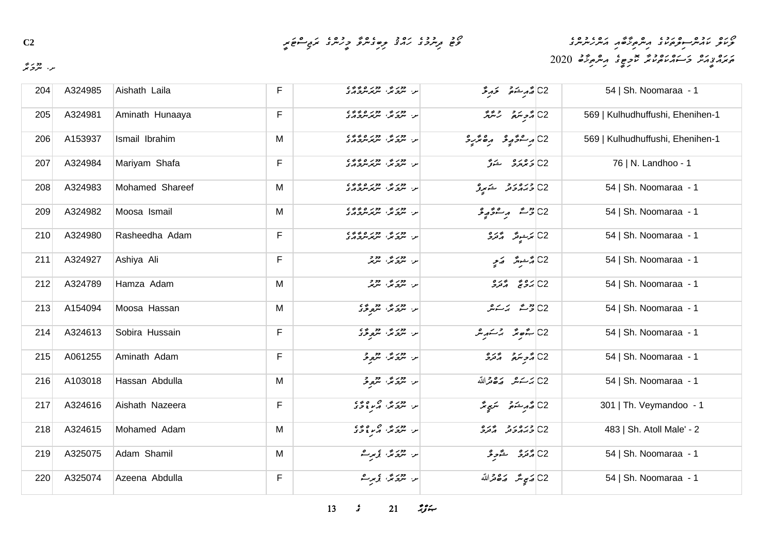*sCw7q7s5w7m< o<n9nOoAw7o< sCq;mAwBoEw7q<m; wBm;vB* م من المرة المرة المرة المرجع المرجع في المركبة 2020<br>مجم*د المريض المربوط المربع المرجع في المراجع المركبة* 

| 204 | A324985 | Aishath Laila   | F            | יני ודגוף, ודגם זוהם ב                                 | C2 مُ مِسْتَمْ تَحْمِدِ مُحْ                 | 54   Sh. Noomaraa - 1            |
|-----|---------|-----------------|--------------|--------------------------------------------------------|----------------------------------------------|----------------------------------|
| 205 | A324981 | Aminath Hunaaya | F            | תי הרגולי - הרגום לובוא<br>תי ותבותי ותובואות ב        | C2 أُمُّ حِسَنَةٌ مُسَمَّدٌ                  | 569   Kulhudhuffushi, Ehenihen-1 |
| 206 | A153937 | Ismail Ibrahim  | M            | תי מגמי מגם ביש<br>תי יוקבית' יוקוגיות בהב             | C2 مەشۇم قىر مەھ <i>مگرى</i> 3               | 569   Kulhudhuffushi, Ehenihen-1 |
| 207 | A324984 | Mariyam Shafa   | F            | תי הרגולי - הרגום לובוא<br>תי ותבותי ותובואות ב        | C2 <i>وَجُهْرُوْ</i> شَوَّرٌ                 | 76   N. Landhoo - 1              |
| 208 | A324983 | Mohamed Shareef | M            | ת מגום - מגום בים<br>תי ייקבותי ייקו <i>ב ויקב ה</i> ב | C2 <i>322.5 مىشەيرى</i>                      | 54   Sh. Noomaraa - 1            |
| 209 | A324982 | Moosa Ismail    | M            | ת - דרז - דרז בישוב בי                                 | C2 قريح مر مستر <i>قي</i> و                  | 54   Sh. Noomaraa - 1            |
| 210 | A324980 | Rasheedha Adam  | $\mathsf F$  | תי חבים - חבים היה בים<br>תי יותרים - יותמיות ברוב     |                                              | 54   Sh. Noomaraa - 1            |
| 211 | A324927 | Ashiya Ali      | F            | مز، 120 م دور دی.<br>مز، سرچانگی، سرچی                 | C2 م <sup>ح</sup> شوش م <i>ح</i> م           | 54   Sh. Noomaraa - 1            |
| 212 | A324789 | Hamza Adam      | M            | ىن ئەرەپىقى ئەرەپ                                      | $5.5$ $5.5$ $C2$                             | 54   Sh. Noomaraa - 1            |
| 213 | A154094 | Moosa Hassan    | M            | ىر. «رى» شەرقى                                         | C2 تخرىشر ئەسكەنل <i>ى</i> ر                 | 54   Sh. Noomaraa - 1            |
| 214 | A324613 | Sobira Hussain  | $\mathsf F$  | ىر. «درى» شەرقىي                                       | C2 بەھ ئۇ ب <sub>ە</sub> شكىرىش              | 54   Sh. Noomaraa - 1            |
| 215 | A061255 | Aminath Adam    | $\mathsf{F}$ | ىر. «رىش شەرقى                                         | C2 أُمُّ حِبَّدَةٌ أَمُّ مَرْكَزَّةٌ         | 54   Sh. Noomaraa - 1            |
| 216 | A103018 | Hassan Abdulla  | M            | ىر. «رىش شەرق                                          | C2 <i>بَرْسَة مَّة هُدَّ</i> اللَّه          | 54   Sh. Noomaraa - 1            |
| 217 | A324616 | Aishath Nazeera | $\mathsf{F}$ | תי מגזה היו ביב                                        | C2 مۇم يىسىم ئىستى <i>م</i> ئى               | 301   Th. Veymandoo - 1          |
| 218 | A324615 | Mohamed Adam    | M            | س بيوسري وره وده                                       | 5, 5, 7, 7, 7, 7                             | 483   Sh. Atoll Male' - 2        |
| 219 | A325075 | Adam Shamil     | M            | ىر. ئۇچەنگە، ئۇ بىرىشە                                 | C2 <i>مُحَمَّ</i> دُ مُسْتَجِعُ              | 54   Sh. Noomaraa - 1            |
| 220 | A325074 | Azeena Abdulla  | F            | ىر. ئۇچەنگە، ئۇ بىرىشە                                 | C2 <i>مَنْ بِي مَّذْ مَنْ هُ</i> قْرَاللَّهُ | 54   Sh. Noomaraa - 1            |

 $13$  *s*  $21$  *n***<sub>s</sub>**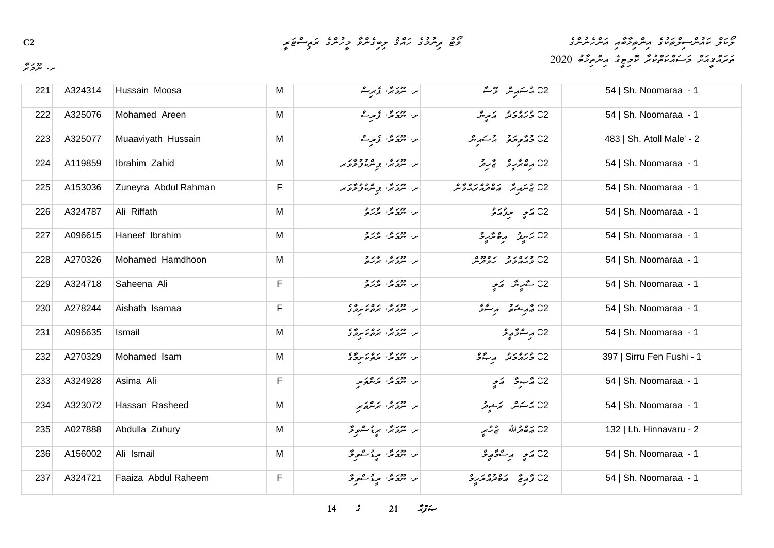*sCw7q7s5w7m< o<n9nOoAw7o< sCq;mAwBoEw7q<m; wBm;vB* م من المرة المرة المرة المرجع المرجع في المركبة 2020<br>مجم*د المريض المربوط المربع المرجع في المراجع المركبة* 

| 221 | A324314 | Hussain Moosa        | M           | ىر، ئىزدىگە، ئۇ بىرىشە       | C2 كەسكەر مىر مىقت                          | 54   Sh. Noomaraa - 1     |
|-----|---------|----------------------|-------------|------------------------------|---------------------------------------------|---------------------------|
| 222 | A325076 | Mohamed Areen        | M           | ىر، ئىزدىگە، ئۇ بىرىشە       | C2 <i>322.5 قر</i> م <i>رتب</i> ر           | 54   Sh. Noomaraa - 1     |
| 223 | A325077 | Muaaviyath Hussain   | M           | ىر. ئۇچەنگە، ئۇ بىرىشە       | C2 <i>جۇم ھومرى بى شەمبىر</i>               | 483   Sh. Atoll Male' - 2 |
| 224 | A119859 | Ibrahim Zahid        | M           | بر حوري وحوور                | C2 م <i>وھ مُدُبِ</i> حَمْ مَحْ سِمْر       | 54   Sh. Noomaraa - 1     |
| 225 | A153036 | Zuneyra Abdul Rahman | F           | ىر. «دىم» بوشلاتوقومد        | C2 ىخ شمېرىكى ئەم <i>ھەم مەلك</i> ىرىگىرىگە | 54   Sh. Noomaraa - 1     |
| 226 | A324787 | Ali Riffath          | M           | س بیرونژ، بورو               | C2 <i>مَجِ بروْمَةِ</i>                     | 54   Sh. Noomaraa - 1     |
| 227 | A096615 | Haneef Ibrahim       | M           | ىر. 1973-يىلى بور 1975-19    | C2 ئەس <sub>ى</sub> ر مەھم <i>رى</i> رى     | 54   Sh. Noomaraa - 1     |
| 228 | A270326 | Mohamed Hamdhoon     | M           | ىن سىردىكى ئەرج              | C2 <i>وبره دو دره دوه</i>                   | 54   Sh. Noomaraa - 1     |
| 229 | A324718 | Saheena Ali          | $\mathsf F$ | ىن سىرتىگە ئىرگىزچ           | C2 شریٹر <b>پر د</b>                        | 54   Sh. Noomaraa - 1     |
| 230 | A278244 | Aishath Isamaa       | $\mathsf F$ | ىر. 22 كۈن برەر يەر          | C2 مەم ئىستىم مەستى <del>ر</del>            | 54   Sh. Noomaraa - 1     |
| 231 | A096635 | Ismail               | M           | در اور به اره در به د        | C2 م <i>ې</i> شمۇمەمۇ                       | 54   Sh. Noomaraa - 1     |
| 232 | A270329 | Mohamed Isam         | M           | ىر. شەھرىكى بىرە بىر ئەي     | $5.202$ $5.202$                             | 397   Sirru Fen Fushi - 1 |
| 233 | A324928 | Asima Ali            | $\mathsf F$ | س بيور ۾ اره د               | C2 م <sup>ي</sup> سوءً م <i>ي</i> ج         | 54   Sh. Noomaraa - 1     |
| 234 | A323072 | Hassan Rasheed       | M           | ىر. «دىر ئەرەر               | C2 كەسكەنلەر <b>ك</b> رىش <sub>ۇ</sub> قر   | 54   Sh. Noomaraa - 1     |
| 235 | A027888 | Abdulla Zuhury       | M           | ىر. ئىردىم، بىر، شەھەتى      | C2 مَەھىراللە ج5مىي                         | 132   Lh. Hinnavaru - 2   |
| 236 | A156002 | Ali Ismail           | M           | ىر. ئىزدىم، برەكسومۇ         | C2 ك <sub>ى</sub> ر مەش <i>ۇر بى</i>        | 54   Sh. Noomaraa - 1     |
| 237 | A324721 | Faaiza Abdul Raheem  | F           | ىر. ئىزدىگە، ئېرە ئىستوپەنگە | C2 <i>ڈم</i> یؒ مەھىرمى <i>ر ب</i> و        | 54   Sh. Noomaraa - 1     |

 $14$  *s*  $21$  *z***<sub>3</sub>**  $\leftarrow$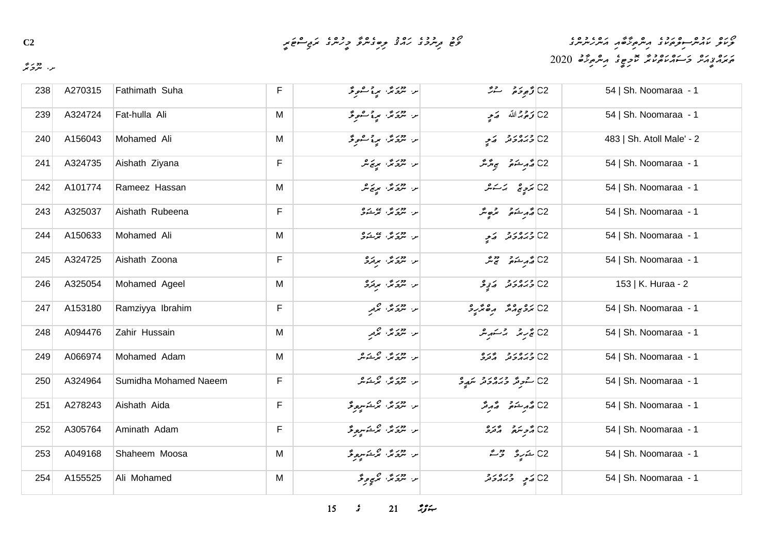*sCw7q7s5w7m< o<n9nOoAw7o< sCq;mAwBoEw7q<m; wBm;vB* م من المرة المرة المرة المرجع المرجع في المركبة 2020<br>مجم*د المريض المربوط المربع المرجع في المراجع المركبة* 

| 238 | A270315 | Fathimath Suha        | F            | ىر. ئىزدىم، بېرەكسومۇ        | C2 <i>وَّجِودَة</i> مَثَّرٌ                                                                | 54   Sh. Noomaraa - 1     |
|-----|---------|-----------------------|--------------|------------------------------|--------------------------------------------------------------------------------------------|---------------------------|
| 239 | A324724 | Fat-hulla Ali         | M            | ىر. ئىزدىكە، ئېرەكسىرە ئە    | C2 ترتم <sup>5</sup> الله     م <sub>ک</sub> م                                             | 54   Sh. Noomaraa - 1     |
| 240 | A156043 | Mohamed Ali           | M            | اللا اللاحرى المردة كشعواني  | C2 <i>ويزوجو مك</i> و                                                                      | 483   Sh. Atoll Male' - 2 |
| 241 | A324735 | Aishath Ziyana        | F            | ىر. ھۇنگە ئېرىخ بىر          | C2 مەم ئىقتىمى ئىچە ئىگىر                                                                  | 54   Sh. Noomaraa - 1     |
| 242 | A101774 | Rameez Hassan         | M            | ىر. ھەتەش، ئېرىنى ش          | C2 ى <i>ز<sub>چ</sub>ىغ بى</i> كسى                                                         | 54   Sh. Noomaraa - 1     |
| 243 | A325037 | Aishath Rubeena       | F            | ىر: " ئەرىخە ئۆستۈم          | C2 مەم ئىقسىم ئىم ئىرىپ ئىگە                                                               | 54   Sh. Noomaraa - 1     |
| 244 | A150633 | Mohamed Ali           | M            | ىر. 122 مىڭ ئەسكەن           | C2 <i>جەممىتى مەر</i>                                                                      | 54   Sh. Noomaraa - 1     |
| 245 | A324725 | Aishath Zoona         | $\mathsf F$  | ىر. ئۇچ ئىگە ئىرقرى          | C2 مەم شىم ئىم ئىم                                                                         | 54   Sh. Noomaraa - 1     |
| 246 | A325054 | Mohamed Ageel         | M            | ىن ئىردىگە، ئېرىدى           | C2 <i>\$32.2 مَتِي \$</i>                                                                  | 153   K. Huraa - 2        |
| 247 | A153180 | Ramziyya Ibrahim      | $\mathsf F$  | ىر، ئەيزىق، ئىزمە            | $5.2$ $3.2$ $5.2$ $2.2$                                                                    | 54   Sh. Noomaraa - 1     |
| 248 | A094476 | Zahir Hussain         | M            | ىر. ئۇچ ئىگە ئىگە            | C2 ئ <i>ۇرىتى بىر شەم</i> بىر                                                              | 54   Sh. Noomaraa - 1     |
| 249 | A066974 | Mohamed Adam          | M            | الرا المرواعي، الركب على مثل | C2 <i>3222 مرد</i>                                                                         | 54   Sh. Noomaraa - 1     |
| 250 | A324964 | Sumidha Mohamed Naeem | $\mathsf F$  | الله العرض الركاشي           | C2 شوند ورورو شده                                                                          | 54   Sh. Noomaraa - 1     |
| 251 | A278243 | Aishath Aida          | F            | ىر. شەھ. ھەسىم ئى            | C2 مەم شىم مەم <i>مە</i>                                                                   | 54   Sh. Noomaraa - 1     |
| 252 | A305764 | Aminath Adam          | F            | ىر. شەنگە، ئۇنشۇسىدۇ         | C2 مُجرِسَمَ مُحَمَّد                                                                      | 54   Sh. Noomaraa - 1     |
| 253 | A049168 | Shaheem Moosa         | $\mathsf{M}$ | ىر. شەنگە ئۇنشىر بولۇ        | $\mathcal{L}$ $\mathcal{Z}$ $\rightarrow$ $\mathcal{L}$ $\sim$ $\mathcal{C}$ $\mathcal{L}$ | 54   Sh. Noomaraa - 1     |
| 254 | A155525 | Ali Mohamed           | M            | ىر. «رُمْدُ ئۈچۈنگە          | C2 <i>مَجِ حَبَّدُونَد</i>                                                                 | 54   Sh. Noomaraa - 1     |

 $15$  *s* 21 *i*<sub>S</sub> $\approx$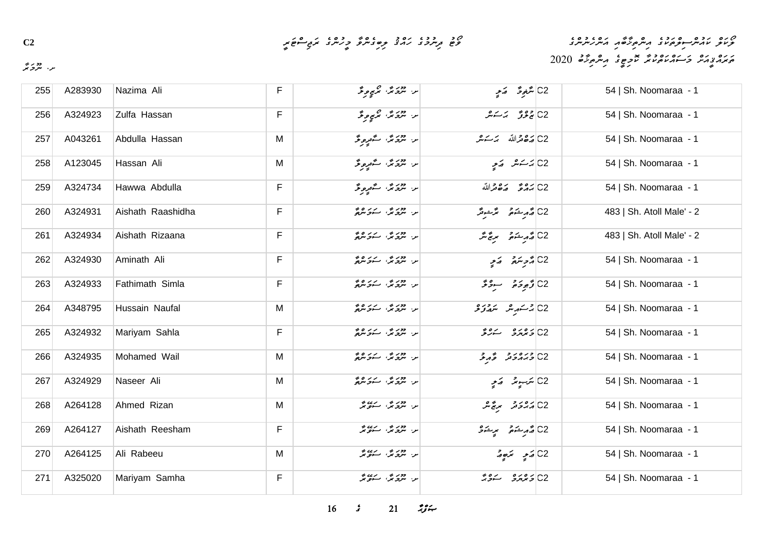*sCw7q7s5w7m< o<n9nOoAw7o< sCq;mAwBoEw7q<m; wBm;vB* م من المرة المرة المرة المرجع المرجع في المركبة 2020<br>مجم*د المريض المربوط المربع المرجع في المراجع المركبة* 

| 255 | A283930 | Nazima Ali        | F           | ىر. ئەركىز، ئۇي يەق          | C2 سُمْعِ قَسَ مَهَ مِيَّةِ مِيَّةِ مِي                                     | 54   Sh. Noomaraa - 1     |
|-----|---------|-------------------|-------------|------------------------------|-----------------------------------------------------------------------------|---------------------------|
| 256 | A324923 | Zulfa Hassan      | F           | ىر. ئۇچ ئىگە ئىگە ئىگە ئە    | C2 يحوز برسكر                                                               | 54   Sh. Noomaraa - 1     |
| 257 | A043261 | Abdulla Hassan    | M           | ىر. «رى» سەرەتۇ              | C2 مَەھەراللە ئەسەمىر                                                       | 54   Sh. Noomaraa - 1     |
| 258 | A123045 | Hassan Ali        | M           | ىر. «رى» سەپرەتۇ             | C2 ئەس <i>تەش مۇم</i> ر                                                     | 54   Sh. Noomaraa - 1     |
| 259 | A324734 | Hawwa Abdulla     | F           | ىر. «رى» سەرەپ               | C2 <i>بَدْهُ فَمَ</i> هُدَاللّه                                             | 54   Sh. Noomaraa - 1     |
| 260 | A324931 | Aishath Raashidha | $\mathsf F$ | ىر. «دىر» سەر دەپر           | C2 م <i>ەقىرىشىقى مۇ</i> ھبىتىگە                                            | 483   Sh. Atoll Male' - 2 |
| 261 | A324934 | Aishath Rizaana   | F           | ىر. 2019- كەن ھەم            | C2 مۇم شۇمۇسى بىرىتىگە                                                      | 483   Sh. Atoll Male' - 2 |
| 262 | A324930 | Aminath Ali       | F           | ىر. ئۇزۇش سۇر ئۇرۇ           | C2 مُجرِسَع <sub>ة صَ</sub> جِ                                              | 54   Sh. Noomaraa - 1     |
| 263 | A324933 | Fathimath Simla   | F           | ىن سۈر بەر ئەيمە ھە          | C2 تۇ <sub>ج</sub> وخۇ سوچى <del>گ</del>                                    | 54   Sh. Noomaraa - 1     |
| 264 | A348795 | Hussain Naufal    | M           | ىر. «دىر» سەر دەپر           | C2 ير سَمبر مس سَمبر <i>دُ</i> مُو                                          | 54   Sh. Noomaraa - 1     |
| 265 | A324932 | Mariyam Sahla     | F           | س بيور ۾ ڪره هڪ              | $5.22$ $5.85$ C <sub>2</sub>                                                | 54   Sh. Noomaraa - 1     |
| 266 | A324935 | Mohamed Wail      | M           | ىر. 2012. كەن ھەر            | $3, 3, 2, 3, 3, 3$ C2                                                       | 54   Sh. Noomaraa - 1     |
| 267 | A324929 | Naseer Ali        | M           | ىر. 22 كۈن سۆز سۆز سەھ       | C2 سَرَسو پڻ <i>جَرمي</i>                                                   | 54   Sh. Noomaraa - 1     |
| 268 | A264128 | Ahmed Rizan       | M           | س بیوری کے بھی               | C2 <i>مەمۇقىر</i> بىر <i>چى</i> ر                                           | 54   Sh. Noomaraa - 1     |
| 269 | A264127 | Aishath Reesham   | F           | ىر. <sup>دور ب</sup> ى سەن ئ | $5.2$ $\frac{2}{3}$ $\frac{2}{3}$ $\frac{2}{3}$ $\frac{2}{3}$ $\frac{2}{3}$ | 54   Sh. Noomaraa - 1     |
| 270 | A264125 | Ali Rabeeu        | M           | ىر. «دىرى سەن»               | $2.22 \times 10^{-2}$                                                       | 54   Sh. Noomaraa - 1     |
| 271 | A325020 | Mariyam Samha     | F           | س بیوری کے بھی               | $2.32$ $2.82$ $C2$                                                          | 54   Sh. Noomaraa - 1     |

 $16$  *s* 21 *if*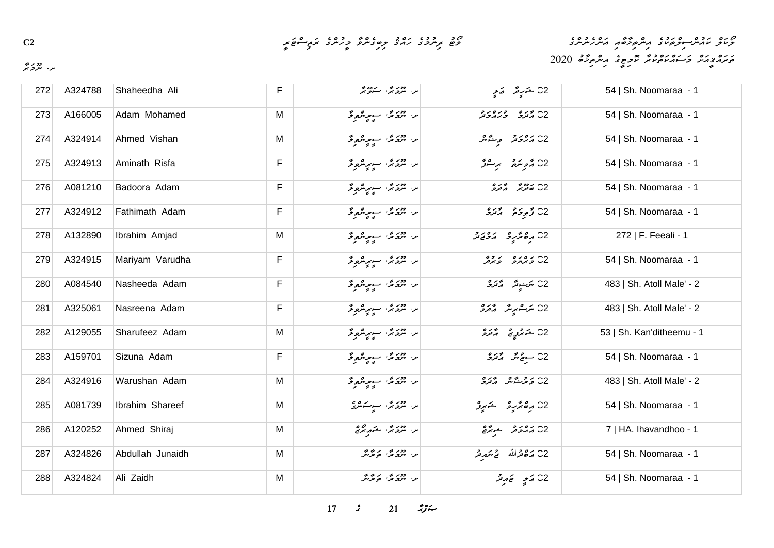*sCw7q7s5w7m< o<n9nOoAw7o< sCq;mAwBoEw7q<m; wBm;vB* م من المرة المرة المرة المرجع المرجع في المركبة 2020<br>مجم*د المريض المربوط المربع المرجع في المراجع المركبة* 

| 272 | A324788 | Shaheedha Ali    | F           | س اللاحراني المستحق من    | C2 ڪرپن <i>گ مَ</i> حِرِ                | 54   Sh. Noomaraa - 1     |
|-----|---------|------------------|-------------|---------------------------|-----------------------------------------|---------------------------|
| 273 | A166005 | Adam Mohamed     | M           | ىر. ئىزدىم، سوپرىتروگر    | C2 <i>مُقرِّد وَيَدُوفر</i>             | 54   Sh. Noomaraa - 1     |
| 274 | A324914 | Ahmed Vishan     | M           | ىر. «دىر سوپرىتروڭ        | C2 <i>محمد حقيق</i> و مشتر              | 54   Sh. Noomaraa - 1     |
| 275 | A324913 | Aminath Risfa    | F           | ىر. «رىر سوپرىتروگر       | C2 مُتَّحِسَّعَةُ مِنْ الْمُحَمَّدُ     | 54   Sh. Noomaraa - 1     |
| 276 | A081210 | Badoora Adam     | F           | ىر. ئىزدىكى سوپرىكرونگى   | C2 ڪقريمن مجم <sup>ر ج</sup>            | 54   Sh. Noomaraa - 1     |
| 277 | A324912 | Fathimath Adam   | $\mathsf F$ | ىر. ئىزدىم، سوپرىتروگر    | C2 تُجوحَمُ مُحْمَدَة                   | 54   Sh. Noomaraa - 1     |
| 278 | A132890 | Ibrahim Amjad    | M           | ىر. ئىزدىگە، سومرىگرىزىگە | C2 مەھەرىرى مەمەمىر                     | 272   F. Feeali - 1       |
| 279 | A324915 | Mariyam Varudha  | F           | ىر. ئىزدىم، سوپرىتروگر    | C2 <i>و پروژ و پروژ</i>                 | 54   Sh. Noomaraa - 1     |
| 280 | A084540 | Nasheeda Adam    | $\mathsf F$ | ىر. «رىر سوپرىتروگر       | C2 سَرَشِيقَر مُرْتَعَرَ 2              | 483   Sh. Atoll Male' - 2 |
| 281 | A325061 | Nasreena Adam    | F           | ىر. ئىزدىكى، سوپرىكرونگى  | C2 مَرَكْبِهِيمَ مَرْمَرْدَ             | 483   Sh. Atoll Male' - 2 |
| 282 | A129055 | Sharufeez Adam   | M           | ىر. ئىزدىم، سوپرىتروگر    | C2 شومري <sub>و</sub> پر گرمرد          | 53   Sh. Kan'ditheemu - 1 |
| 283 | A159701 | Sizuna Adam      | F           | ىر. ئىزدىگە، سومرىگرىزىگە | C2 سېنجىنگە ئ <sup>ې</sup> رتىرى        | 54   Sh. Noomaraa - 1     |
| 284 | A324916 | Warushan Adam    | M           | ىر. «دىر سوپرىتروڭ        | C2 كوترىشىش مەمر <i>ە</i>               | 483   Sh. Atoll Male' - 2 |
| 285 | A081739 | Ibrahim Shareef  | M           | الاستروبر مسوسكس          | C2 مەھم <i>گرى</i> ھەمبەر               | 54   Sh. Noomaraa - 1     |
| 286 | A120252 | Ahmed Shiraj     | M           | س موري ڪرمي               | C2 <i>مەمەدىن</i> ھوم <i>تى</i>         | 7   HA. Ihavandhoo - 1    |
| 287 | A324826 | Abdullah Junaidh | M           | ىن ئەدەب بەيگەش           | C2 مَ <b>3مَ</b> رَاللّه مَے سَمِهِ مَر | 54   Sh. Noomaraa - 1     |
| 288 | A324824 | Ali Zaidh        | M           | س دوره ره و               | C2 <i>ھَ۔</i> پھو م                     | 54   Sh. Noomaraa - 1     |

 $17$  *s*  $21$  *n***<sub>s</sub>**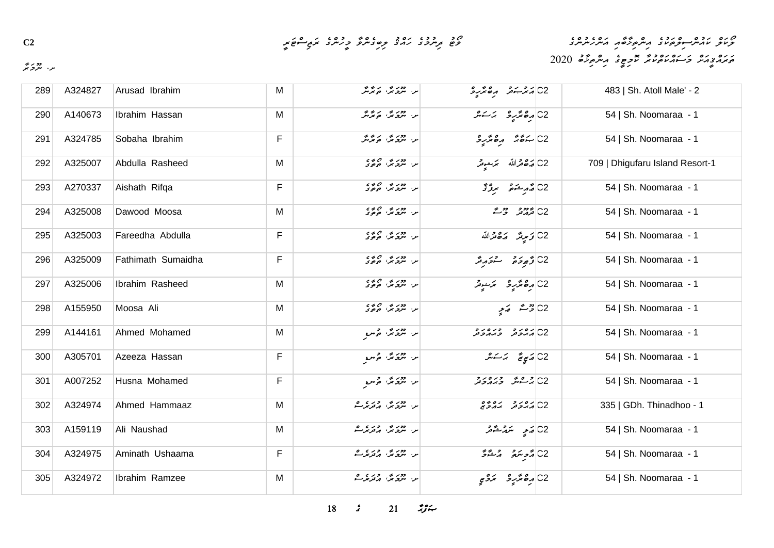*sCw7q7s5w7m< o<n9nOoAw7o< sCq;mAwBoEw7q<m; wBm;vB* م من المرة المرة المرة المرجع المرجع في المركبة 2020<br>مجم*د المريض المربوط المربع المرجع في المراجع المركبة* 

| 289 | A324827 | Arusad Ibrahim     | M           | ىر، ئەردىكە، ئەبگەنگە                               | C2  مەمرىبەتر مەھەردى                                                                                | 483   Sh. Atoll Male' - 2       |
|-----|---------|--------------------|-------------|-----------------------------------------------------|------------------------------------------------------------------------------------------------------|---------------------------------|
| 290 | A140673 | Ibrahim Hassan     | M           | ىر، بىزدىكى، ئۇيگەنگە                               | C2 مەھە <i>ترى</i> دۇ كەسكىلى                                                                        | 54   Sh. Noomaraa - 1           |
| 291 | A324785 | Sobaha Ibrahim     | F           | ىن سىردىكە ئەتمەتكە                                 | $5\frac{1}{2}$ $\frac{2}{9}$ $\frac{2}{9}$ $\frac{2}{9}$ $\frac{2}{9}$ $\frac{2}{9}$ $\frac{2}{9}$   | 54   Sh. Noomaraa - 1           |
| 292 | A325007 | Abdulla Rasheed    | M           | ىر بەدە بەر 200                                     | C2 مَەھمَراللە مَرَىش <sub>و</sub> مَر                                                               | 709   Dhigufaru Island Resort-1 |
| 293 | A270337 | Aishath Rifga      | F           | س دوری همه د                                        | C2 مەم شىم ئىرىقى                                                                                    | 54   Sh. Noomaraa - 1           |
| 294 | A325008 | Dawood Moosa       | M           | ىر. «دىرىش» ئەم»                                    | $23$ $22$ $22$                                                                                       | 54   Sh. Noomaraa - 1           |
| 295 | A325003 | Fareedha Abdulla   | F           | در دوری دی.<br>در سرچنگ دی وی                       | C2 قرىيەتتر كەھەتراللە                                                                               | 54   Sh. Noomaraa - 1           |
| 296 | A325009 | Fathimath Sumaidha | $\mathsf F$ | ىر. 1973-يى 240-يى<br>بىر: <i>سرچەنگە</i> ئونومى    | C2 ۇ <sub>ج</sub> وڭ سۇمبۇر                                                                          | 54   Sh. Noomaraa - 1           |
| 297 | A325006 | Ibrahim Rasheed    | M           | س دوری همه د                                        | C2 م <i>ەھەردى مەش</i> بەر                                                                           | 54   Sh. Noomaraa - 1           |
| 298 | A155950 | Moosa Ali          | M           | ىر. «دىرىش» ئەم»                                    | C2 2° مَعِ                                                                                           | 54   Sh. Noomaraa - 1           |
| 299 | A144161 | Ahmed Mohamed      | M           | ىر، ئىزدىم، مۇسىر                                   | C2 ג' ביט ביט בי הרי הרי בי הרי בי הרי בי הרי בי הרי בי הרי בי הרי בי הרי בי הרי הרי בי הרי הרי בי ה | 54   Sh. Noomaraa - 1           |
| 300 | A305701 | Azeeza Hassan      | F           | ىر. ئەردىر كەربىي                                   | C2 <i>ھَي جَنَ مَسَ</i> سَر                                                                          | 54   Sh. Noomaraa - 1           |
| 301 | A007252 | Husna Mohamed      | $\mathsf F$ | ىر. «رىش قەسمە                                      | C2 يزييش <i>دين دور</i> و                                                                            | 54   Sh. Noomaraa - 1           |
| 302 | A324974 | Ahmed Hammaaz      | M           | ىر. 2012. قارىمى ھ                                  | C2 2222 2005                                                                                         | 335   GDh. Thinadhoo - 1        |
| 303 | A159119 | Ali Naushad        | M           | ىر. شەھرىكى مەتىرىكەت ب                             | C2 <i>مَجِ سَمَّدْ</i> شَمَّعْر                                                                      | 54   Sh. Noomaraa - 1           |
| 304 | A324975 | Aminath Ushaama    | F           | ىر. 2012- 2013-يى                                   | C2 مُجِسَعَةِ مُشَوَّدَ                                                                              | 54   Sh. Noomaraa - 1           |
| 305 | A324972 | Ibrahim Ramzee     | M           | ىر. 1973- 1975-يى<br>ىر. ئىر <i>دى</i> خە مەترىخەسى | C2 م <i>ەھتىب</i> ۇ ئىگى پر                                                                          | 54   Sh. Noomaraa - 1           |

 $18$  *s* 21 *if*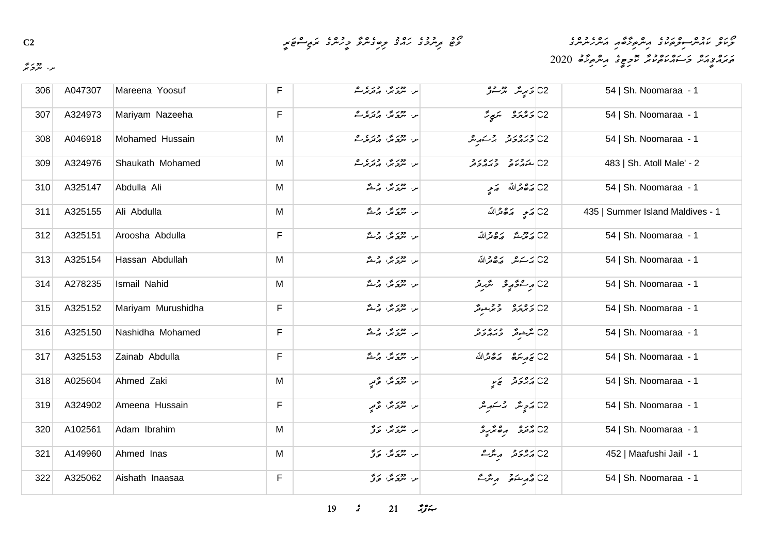*sCw7q7s5w7m< o<n9nOoAw7o< sCq;mAwBoEw7q<m; wBm;vB* م من المرة المرة المرة المرجع المرجع في المركبة 2020<br>مجم*د المريض المربوط المربع المرجع في المراجع المركبة* 

| 306 | A047307 | Mareena Yoosuf      | F           | ىر. ئەركەنگە ئەتەركەك | C2  <i>5پېنگ پژگ</i> و                                        | 54   Sh. Noomaraa - 1            |
|-----|---------|---------------------|-------------|-----------------------|---------------------------------------------------------------|----------------------------------|
| 307 | A324973 | Mariyam Nazeeha     | F           | ىر. شەھ ئەھەر ئەھ     | C2 كەبھە <i>دۇ سى</i> بى <sup>ر</sup>                         | 54   Sh. Noomaraa - 1            |
| 308 | A046918 | Mohamed Hussain     | M           | ىر. 2012. مەمەرى ھ    | C2 <i>وبرودو بر شهر ش</i>                                     | 54   Sh. Noomaraa - 1            |
| 309 | A324976 | Shaukath Mohamed    | M           | ىر. «دىر» روزەك       |                                                               | 483   Sh. Atoll Male' - 2        |
| 310 | A325147 | Abdulla Ali         | M           | س حرم کر گرگے         | C2 مَەھقراللە   مَرمح                                         | 54   Sh. Noomaraa - 1            |
| 311 | A325155 | Ali Abdulla         | M           | ىر، ئەچرىم، كەشكە     | C2 مَعٍ مَ <b>صْ</b> قَرْاللّه                                | 435   Summer Island Maldives - 1 |
| 312 | A325151 | Aroosha Abdulla     | F           | س حرم کر گرگ          | C2 مَعْرَشَةً مَصْعَدِ اللّه                                  | 54   Sh. Noomaraa - 1            |
| 313 | A325154 | Hassan Abdullah     | M           | س حرم پر مرکب کر دیگر | C2 ترسك مركة محدد الله                                        | 54   Sh. Noomaraa - 1            |
| 314 | A278235 | <b>Ismail Nahid</b> | M           | س سر چرک ارشگر        | C2 مەسىم <i>ۇم</i> بۇ س <i>ۇرى</i> ر                          | 54   Sh. Noomaraa - 1            |
| 315 | A325152 | Mariyam Murushidha  | F           | س سرچينې مرشق         | C2 <i>وَبُرْمَرْدْ وَبُرْ</i> حْمَدْ                          | 54   Sh. Noomaraa - 1            |
| 316 | A325150 | Nashidha Mohamed    | $\mathsf F$ | س حرم پر محمد شد      | C2 بترېنونتر <i>د ډر ډ</i> ير                                 | 54   Sh. Noomaraa - 1            |
| 317 | A325153 | Zainab Abdulla      | F           | س حرم پر پہ کر گئے    | C2 <i>تم مرتك مق</i> صر الله                                  | 54   Sh. Noomaraa - 1            |
| 318 | A025604 | Ahmed Zaki          | M           | ىر. ئۇچ ئۆگە قۇمچە    | C2 كەش <sub>ە</sub> كەنتىر                                    | 54   Sh. Noomaraa - 1            |
| 319 | A324902 | Ameena Hussain      | F           | ىر. ئۇچ ئىگە ئۇ تېر   | C2 كەچ بى <i>گە بى<sup>2</sup> سەمبەنل</i> ە                  | 54   Sh. Noomaraa - 1            |
| 320 | A102561 | Adam Ibrahim        | M           | ىر: سىن ئىرگە ئىرگە   | $5.2$ $\frac{6}{2}$ $\frac{6}{2}$ $\frac{6}{2}$ $\frac{6}{2}$ | 54   Sh. Noomaraa - 1            |
| 321 | A149960 | Ahmed Inas          | M           | ىن سىرتىرى بەر        | C2 <i>مەمۇقى مەمگە</i>                                        | 452   Maafushi Jail - 1          |
| 322 | A325062 | Aishath Inaasaa     | F           | ىن سىزىتى، ئ          | C2 مۇم شەھ بەيدىگە                                            | 54   Sh. Noomaraa - 1            |

*19 s* 21 *i*<sub>s</sub> $\approx$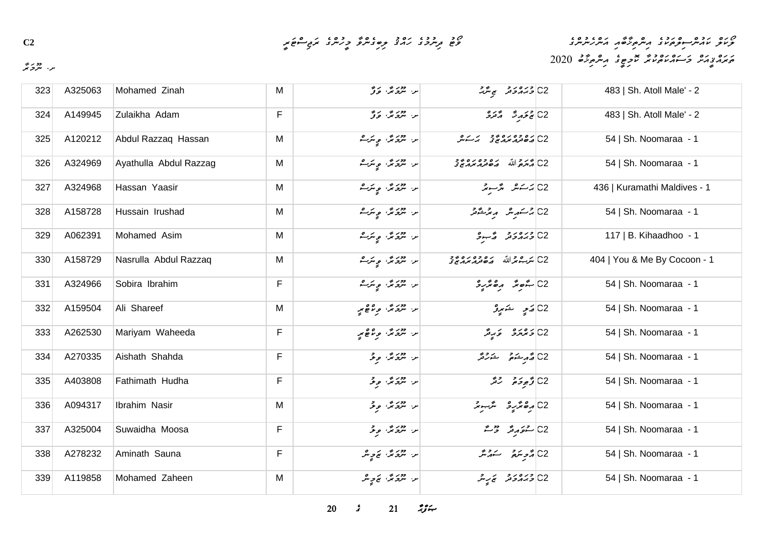*sCw7q7s5w7m< o<n9nOoAw7o< sCq;mAwBoEw7q<m; wBm;vB* م من المرة المرة المرة المرجع المرجع في المركبة 2020<br>مجم*د المريض المربوط المربع المرجع في المراجع المركبة* 

| 323 | A325063 | Mohamed Zinah          | M           | ىن سىرتىرىكى بەرگە     | C2 <i>5223 بي مرَّثَ</i>                     | 483   Sh. Atoll Male' - 2    |
|-----|---------|------------------------|-------------|------------------------|----------------------------------------------|------------------------------|
| 324 | A149945 | Zulaikha Adam          | F           | ىر. شۇنمى ئ            | C2 ىخ <i>م قى</i> ر محمد قى                  | 483   Sh. Atoll Male' - 2    |
| 325 | A120212 | Abdul Razzaq Hassan    | M           | ىر. ھەترى بەيدىش       | C2 مەھەرمەم ئەسكە ئەسكە                      | 54   Sh. Noomaraa - 1        |
| 326 | A324969 | Ayathulla Abdul Razzag | M           | یں تردیش عِسَرت        | C2 مەمەم الله مەھىر <i>مەمەم ق</i>           | 54   Sh. Noomaraa - 1        |
| 327 | A324968 | Hassan Yaasir          | M           | ىر. ئۇچ ئەكەن بىر ئىگە | C2 ئەسەنلەر مەسىر                            | 436   Kuramathi Maldives - 1 |
| 328 | A158728 | Hussain Irushad        | M           | یں تردیش عبدگ          | C2 ئرىسكىرىش مەيرىشىقىر                      | 54   Sh. Noomaraa - 1        |
| 329 | A062391 | Mohamed Asim           | M           | ىر. ئۇچەنگە ئويىگەش    | $5 - 2$ $2 - 2 - 2$                          | 117   B. Kihaadhoo - 1       |
| 330 | A158729 | Nasrulla Abdul Razzaq  | M           | ىر. ئۇچ ئىگە ئوسكەت    | C2 مربح مرالله صح <i>ص مرد مح</i> رم م       | 404   You & Me By Cocoon - 1 |
| 331 | A324966 | Sobira Ibrahim         | $\mathsf F$ | ىر. ئۇچرىگە، ئۆسكە     | C2 بڻو پڻ مر <i>ھ پڙر</i> و                  | 54   Sh. Noomaraa - 1        |
| 332 | A159504 | Ali Shareef            | M           | ىر. «رىش ھەھىر         | C2 كەير شەيرتى                               | 54   Sh. Noomaraa - 1        |
| 333 | A262530 | Mariyam Waheeda        | F           | ىر. «رىخ، مەھىر        | C2 <i>خىمىنى قې</i> رتىگە                    | 54   Sh. Noomaraa - 1        |
| 334 | A270335 | Aishath Shahda         | F           | مراجع پر تنگ الباطی    | C2 م <i>ەم ھەم ھەرىتى</i>                    | 54   Sh. Noomaraa - 1        |
| 335 | A403808 | Fathimath Hudha        | $\mathsf F$ | ىر. ئەردىگە، جامۇ      | C2 ت <i>وفوف</i> رقد                         | 54   Sh. Noomaraa - 1        |
| 336 | A094317 | Ibrahim Nasir          | M           | ىر. ئەردىگە، ئۆلى      | C2 مەھ <i>مگىي</i> ئەسىر مىلكىنى ئىسىر ئىس   | 54   Sh. Noomaraa - 1        |
| 337 | A325004 | Suwaidha Moosa         | F           | ىر. ھەتەش جام          | $23 \times 102$                              | 54   Sh. Noomaraa - 1        |
| 338 | A278232 | Aminath Sauna          | $\mathsf F$ | ىر، ئىزدىكە، ئۇچەش     | C2 مُجرِسَمَ <i>ة</i> ِ سَمَ <i>مْ</i> مَثَر | 54   Sh. Noomaraa - 1        |
| 339 | A119858 | Mohamed Zaheen         | M           | ىر. ئۆزگە ئەچ ئى       | C2 <i>\$ جەمگە جى بىر</i>                    | 54   Sh. Noomaraa - 1        |

 $20$  *s*  $21$  *z***<sub>3</sub>** $\leftarrow$